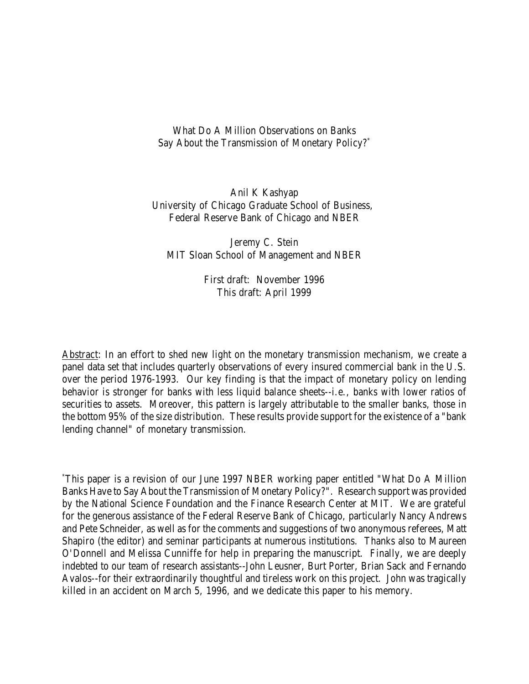What Do A Million Observations on Banks Say About the Transmission of Monetary Policy?\*

Anil K Kashyap University of Chicago Graduate School of Business, Federal Reserve Bank of Chicago and NBER

Jeremy C. Stein MIT Sloan School of Management and NBER

> First draft: November 1996 This draft: April 1999

Abstract: In an effort to shed new light on the monetary transmission mechanism, we create a panel data set that includes quarterly observations of every insured commercial bank in the U.S. over the period 1976-1993. Our key finding is that the impact of monetary policy on lending behavior is stronger for banks with less liquid balance sheets--i.e., banks with lower ratios of securities to assets. Moreover, this pattern is largely attributable to the smaller banks, those in the bottom 95% of the size distribution. These results provide support for the existence of a "bank lending channel" of monetary transmission.

\*This paper is a revision of our June 1997 NBER working paper entitled "What Do A Million Banks Have to Say About the Transmission of Monetary Policy?". Research support was provided by the National Science Foundation and the Finance Research Center at MIT. We are grateful for the generous assistance of the Federal Reserve Bank of Chicago, particularly Nancy Andrews and Pete Schneider, as well as for the comments and suggestions of two anonymous referees, Matt Shapiro (the editor) and seminar participants at numerous institutions. Thanks also to Maureen O'Donnell and Melissa Cunniffe for help in preparing the manuscript. Finally, we are deeply indebted to our team of research assistants--John Leusner, Burt Porter, Brian Sack and Fernando Avalos--for their extraordinarily thoughtful and tireless work on this project. John was tragically killed in an accident on March 5, 1996, and we dedicate this paper to his memory.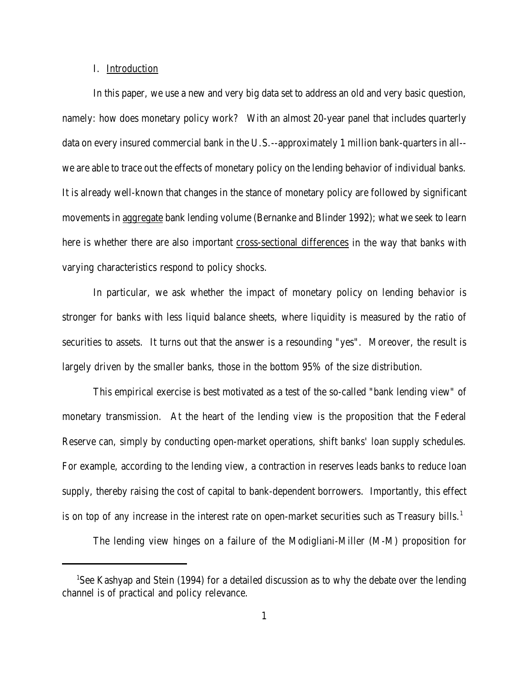# I. Introduction

In this paper, we use a new and very big data set to address an old and very basic question, namely: how does monetary policy work? With an almost 20-year panel that includes quarterly data on every insured commercial bank in the U.S.--approximately 1 million bank-quarters in all- we are able to trace out the effects of monetary policy on the lending behavior of individual banks. It is already well-known that changes in the stance of monetary policy are followed by significant movements in aggregate bank lending volume (Bernanke and Blinder 1992); what we seek to learn here is whether there are also important cross-sectional differences in the way that banks with varying characteristics respond to policy shocks.

In particular, we ask whether the impact of monetary policy on lending behavior is stronger for banks with less liquid balance sheets, where liquidity is measured by the ratio of securities to assets. It turns out that the answer is a resounding "yes". Moreover, the result is largely driven by the smaller banks, those in the bottom 95% of the size distribution.

This empirical exercise is best motivated as a test of the so-called "bank lending view" of monetary transmission. At the heart of the lending view is the proposition that the Federal Reserve can, simply by conducting open-market operations, shift banks' loan supply schedules. For example, according to the lending view, a contraction in reserves leads banks to reduce loan supply, thereby raising the cost of capital to bank-dependent borrowers. Importantly, this effect is on top of any increase in the interest rate on open-market securities such as Treasury bills.<sup>1</sup>

The lending view hinges on a failure of the Modigliani-Miller (M-M) proposition for

<sup>&</sup>lt;sup>1</sup>See Kashyap and Stein (1994) for a detailed discussion as to why the debate over the lending channel is of practical and policy relevance.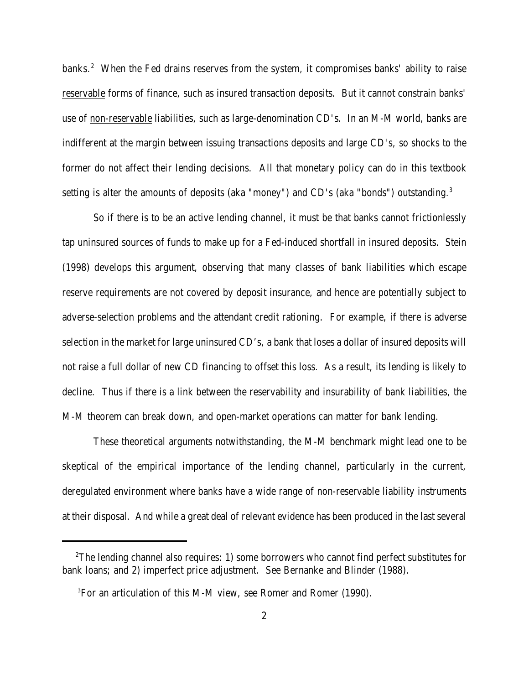banks.<sup>2</sup> When the Fed drains reserves from the system, it compromises banks' ability to raise reservable forms of finance, such as insured transaction deposits. But it cannot constrain banks' use of non-reservable liabilities, such as large-denomination CD's. In an M-M world, banks are indifferent at the margin between issuing transactions deposits and large CD's, so shocks to the former do not affect their lending decisions. All that monetary policy can do in this textbook setting is alter the amounts of deposits (aka "money") and CD's (aka "bonds") outstanding.<sup>3</sup>

So if there is to be an active lending channel, it must be that banks cannot frictionlessly tap uninsured sources of funds to make up for a Fed-induced shortfall in insured deposits. Stein (1998) develops this argument, observing that many classes of bank liabilities which escape reserve requirements are not covered by deposit insurance, and hence are potentially subject to adverse-selection problems and the attendant credit rationing. For example, if there is adverse selection in the market for large uninsured CD's, a bank that loses a dollar of insured deposits will not raise a full dollar of new CD financing to offset this loss. As a result, its lending is likely to decline. Thus if there is a link between the reservability and insurability of bank liabilities, the M-M theorem can break down, and open-market operations can matter for bank lending.

These theoretical arguments notwithstanding, the M-M benchmark might lead one to be skeptical of the empirical importance of the lending channel, particularly in the current, deregulated environment where banks have a wide range of non-reservable liability instruments at their disposal. And while a great deal of relevant evidence has been produced in the last several

 $2^2$ The lending channel also requires: 1) some borrowers who cannot find perfect substitutes for bank loans; and 2) imperfect price adjustment. See Bernanke and Blinder (1988).

<sup>3</sup>For an articulation of this M-M view, see Romer and Romer (1990).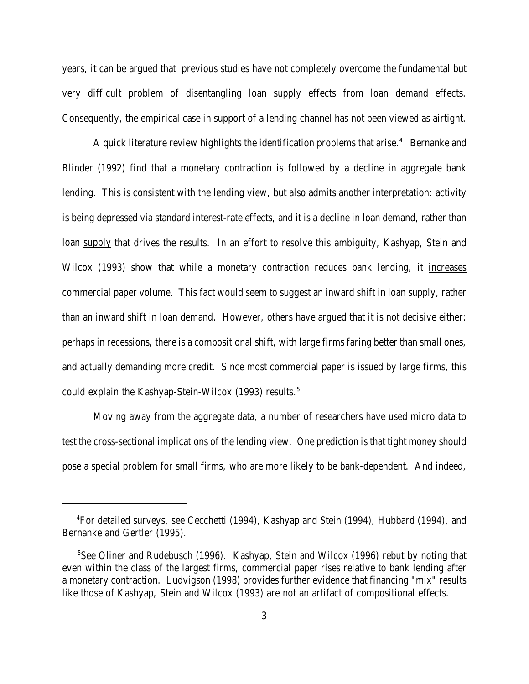years, it can be argued that previous studies have not completely overcome the fundamental but very difficult problem of disentangling loan supply effects from loan demand effects. Consequently, the empirical case in support of a lending channel has not been viewed as airtight.

A quick literature review highlights the identification problems that arise.<sup>4</sup> Bernanke and Blinder (1992) find that a monetary contraction is followed by a decline in aggregate bank lending. This is consistent with the lending view, but also admits another interpretation: activity is being depressed via standard interest-rate effects, and it is a decline in loan demand, rather than loan supply that drives the results. In an effort to resolve this ambiguity, Kashyap, Stein and Wilcox (1993) show that while a monetary contraction reduces bank lending, it increases commercial paper volume. This fact would seem to suggest an inward shift in loan supply, rather than an inward shift in loan demand. However, others have argued that it is not decisive either: perhaps in recessions, there is a compositional shift, with large firms faring better than small ones, and actually demanding more credit. Since most commercial paper is issued by large firms, this could explain the Kashyap-Stein-Wilcox (1993) results.<sup>5</sup>

Moving away from the aggregate data, a number of researchers have used micro data to test the cross-sectional implications of the lending view. One prediction is that tight money should pose a special problem for small firms, who are more likely to be bank-dependent. And indeed,

<sup>4</sup>For detailed surveys, see Cecchetti (1994), Kashyap and Stein (1994), Hubbard (1994), and Bernanke and Gertler (1995).

<sup>&</sup>lt;sup>5</sup>See Oliner and Rudebusch (1996). Kashyap, Stein and Wilcox (1996) rebut by noting that even within the class of the largest firms, commercial paper rises relative to bank lending after a monetary contraction. Ludvigson (1998) provides further evidence that financing "mix" results like those of Kashyap, Stein and Wilcox (1993) are not an artifact of compositional effects.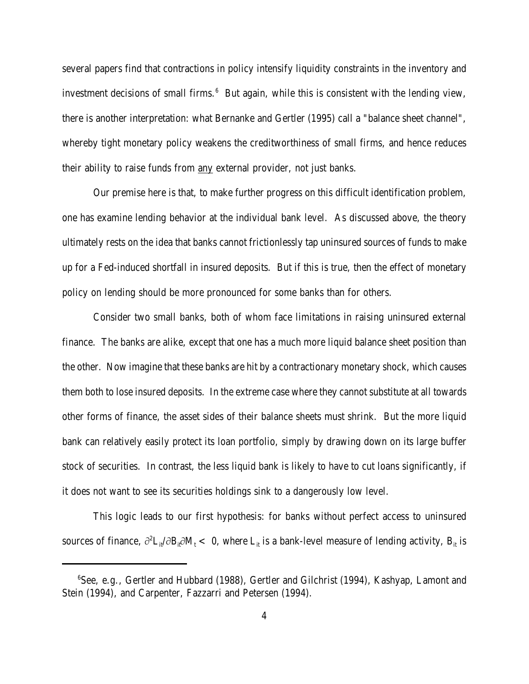several papers find that contractions in policy intensify liquidity constraints in the inventory and investment decisions of small firms. $6$  But again, while this is consistent with the lending view, there is another interpretation: what Bernanke and Gertler (1995) call a "balance sheet channel", whereby tight monetary policy weakens the creditworthiness of small firms, and hence reduces their ability to raise funds from any external provider, not just banks.

Our premise here is that, to make further progress on this difficult identification problem, one has examine lending behavior at the individual bank level. As discussed above, the theory ultimately rests on the idea that banks cannot frictionlessly tap uninsured sources of funds to make up for a Fed-induced shortfall in insured deposits. But if this is true, then the effect of monetary policy on lending should be more pronounced for some banks than for others.

Consider two small banks, both of whom face limitations in raising uninsured external finance. The banks are alike, except that one has a much more liquid balance sheet position than the other. Now imagine that these banks are hit by a contractionary monetary shock, which causes them both to lose insured deposits. In the extreme case where they cannot substitute at all towards other forms of finance, the asset sides of their balance sheets must shrink. But the more liquid bank can relatively easily protect its loan portfolio, simply by drawing down on its large buffer stock of securities. In contrast, the less liquid bank is likely to have to cut loans significantly, if it does not want to see its securities holdings sink to a dangerously low level.

This logic leads to our first hypothesis: for banks without perfect access to uninsured sources of finance,  $\partial^2 L_{it}/\partial B_{it} \partial M_t < 0$ , where  $L_{it}$  is a bank-level measure of lending activity,  $B_{it}$  is

<sup>&</sup>lt;sup>6</sup>See, e.g., Gertler and Hubbard (1988), Gertler and Gilchrist (1994), Kashyap, Lamont and Stein (1994), and Carpenter, Fazzarri and Petersen (1994).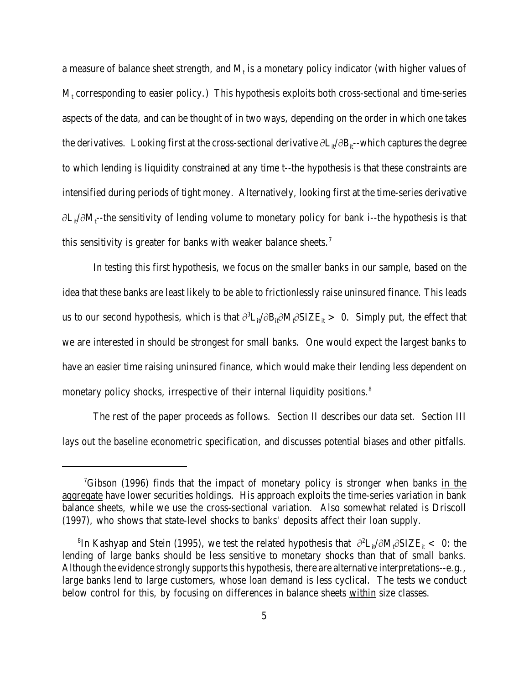a measure of balance sheet strength, and  $\rm M_{t}$  is a monetary policy indicator (with higher values of  $\rm M_{t}$  corresponding to easier policy.) This hypothesis exploits both cross-sectional and time-series aspects of the data, and can be thought of in two ways, depending on the order in which one takes the derivatives. Looking first at the cross-sectional derivative  $\partial L_{\mu}/\partial B_{\mu}$ -which captures the degree to which lending is liquidity constrained at any time t--the hypothesis is that these constraints are intensified during periods of tight money. Alternatively, looking first at the time-series derivative  $\partial L_{it}/\partial M_{t}$ --the sensitivity of lending volume to monetary policy for bank i--the hypothesis is that this sensitivity is greater for banks with weaker balance sheets.<sup>7</sup>

In testing this first hypothesis, we focus on the smaller banks in our sample, based on the idea that these banks are least likely to be able to frictionlessly raise uninsured finance. This leads us to our second hypothesis, which is that  $\partial^3L_{it}/\partial B_{it}\partial M_t\partial SIZE_{it} > 0$ . Simply put, the effect that we are interested in should be strongest for small banks. One would expect the largest banks to have an easier time raising uninsured finance, which would make their lending less dependent on monetary policy shocks, irrespective of their internal liquidity positions.<sup>8</sup>

The rest of the paper proceeds as follows. Section II describes our data set. Section III lays out the baseline econometric specification, and discusses potential biases and other pitfalls.

 ${}^{7}$ Gibson (1996) finds that the impact of monetary policy is stronger when banks in the aggregate have lower securities holdings. His approach exploits the time-series variation in bank balance sheets, while we use the cross-sectional variation. Also somewhat related is Driscoll (1997), who shows that state-level shocks to banks' deposits affect their loan supply.

 ${}^8$ In Kashyap and Stein (1995), we test the related hypothesis that  $\partial^2 L_{it}/\partial M_t \partial SIZE_{it} < 0$ : the lending of large banks should be less sensitive to monetary shocks than that of small banks. Although the evidence strongly supports this hypothesis, there are alternative interpretations--e.g., large banks lend to large customers, whose loan demand is less cyclical. The tests we conduct below control for this, by focusing on differences in balance sheets within size classes.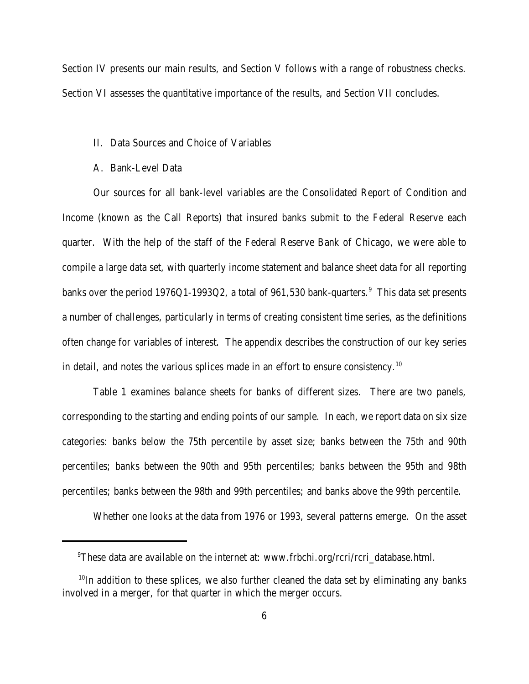Section IV presents our main results, and Section V follows with a range of robustness checks. Section VI assesses the quantitative importance of the results, and Section VII concludes.

# II. Data Sources and Choice of Variables

# A. Bank-Level Data

Our sources for all bank-level variables are the Consolidated Report of Condition and Income (known as the Call Reports) that insured banks submit to the Federal Reserve each quarter. With the help of the staff of the Federal Reserve Bank of Chicago, we were able to compile a large data set, with quarterly income statement and balance sheet data for all reporting banks over the period 1976Q1-1993Q2, a total of 961,530 bank-quarters. $^9\,$  This data set presents a number of challenges, particularly in terms of creating consistent time series, as the definitions often change for variables of interest. The appendix describes the construction of our key series in detail, and notes the various splices made in an effort to ensure consistency.<sup>10</sup>

Table 1 examines balance sheets for banks of different sizes. There are two panels, corresponding to the starting and ending points of our sample. In each, we report data on six size categories: banks below the 75th percentile by asset size; banks between the 75th and 90th percentiles; banks between the 90th and 95th percentiles; banks between the 95th and 98th percentiles; banks between the 98th and 99th percentiles; and banks above the 99th percentile.

Whether one looks at the data from 1976 or 1993, several patterns emerge. On the asset

<sup>9</sup>These data are available on the internet at: www.frbchi.org/rcri/rcri\_database.html.

 $10$ In addition to these splices, we also further cleaned the data set by eliminating any banks involved in a merger, for that quarter in which the merger occurs.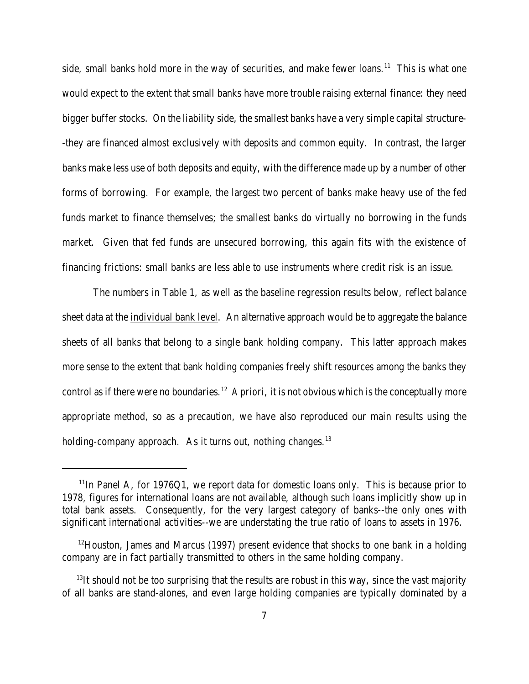side, small banks hold more in the way of securities, and make fewer loans.<sup>11</sup> This is what one would expect to the extent that small banks have more trouble raising external finance: they need bigger buffer stocks. On the liability side, the smallest banks have a very simple capital structure- -they are financed almost exclusively with deposits and common equity. In contrast, the larger banks make less use of both deposits and equity, with the difference made up by a number of other forms of borrowing. For example, the largest two percent of banks make heavy use of the fed funds market to finance themselves; the smallest banks do virtually no borrowing in the funds market. Given that fed funds are unsecured borrowing, this again fits with the existence of financing frictions: small banks are less able to use instruments where credit risk is an issue.

The numbers in Table 1, as well as the baseline regression results below, reflect balance sheet data at the individual bank level. An alternative approach would be to aggregate the balance sheets of all banks that belong to a single bank holding company. This latter approach makes more sense to the extent that bank holding companies freely shift resources among the banks they control as if there were no boundaries.<sup>12</sup> A priori, it is not obvious which is the conceptually more appropriate method, so as a precaution, we have also reproduced our main results using the holding-company approach. As it turns out, nothing changes. $^{13}$ 

 $11$ In Panel A, for 1976Q1, we report data for domestic loans only. This is because prior to 1978, figures for international loans are not available, although such loans implicitly show up in total bank assets. Consequently, for the very largest category of banks--the only ones with significant international activities--we are understating the true ratio of loans to assets in 1976.

 $12$ Houston, James and Marcus (1997) present evidence that shocks to one bank in a holding company are in fact partially transmitted to others in the same holding company.

 $13$ It should not be too surprising that the results are robust in this way, since the vast majority of all banks are stand-alones, and even large holding companies are typically dominated by a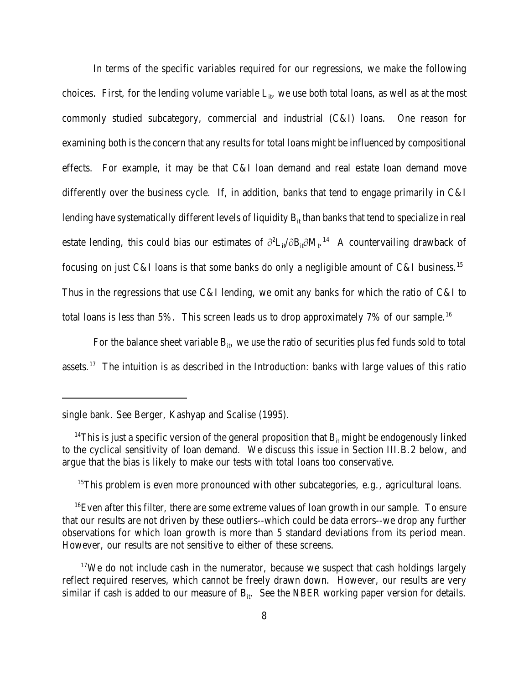In terms of the specific variables required for our regressions, we make the following choices. First, for the lending volume variable  $L_{it}$ , we use both total loans, as well as at the most commonly studied subcategory, commercial and industrial (C&I) loans. One reason for examining both is the concern that any results for total loans might be influenced by compositional effects. For example, it may be that C&I loan demand and real estate loan demand move differently over the business cycle. If, in addition, banks that tend to engage primarily in C&I lending have systematically different levels of liquidity  $B_{it}$  than banks that tend to specialize in real estate lending, this could bias our estimates of  $\partial^2 L_{it}/\partial B_{it} \partial M_{t}$ .<sup>14</sup> A countervailing drawback of focusing on just C&I loans is that some banks do only a negligible amount of C&I business.<sup>15</sup> Thus in the regressions that use C&I lending, we omit any banks for which the ratio of C&I to total loans is less than 5%. This screen leads us to drop approximately 7% of our sample.<sup>16</sup>

For the balance sheet variable  $B_{ii}$ , we use the ratio of securities plus fed funds sold to total assets.<sup>17</sup> The intuition is as described in the Introduction: banks with large values of this ratio

 $15$ This problem is even more pronounced with other subcategories, e.g., agricultural loans.

single bank. See Berger, Kashyap and Scalise (1995).

<sup>&</sup>lt;sup>14</sup>This is just a specific version of the general proposition that  $B<sub>it</sub>$  might be endogenously linked to the cyclical sensitivity of loan demand. We discuss this issue in Section III.B.2 below, and argue that the bias is likely to make our tests with total loans too conservative.

 $16$  Even after this filter, there are some extreme values of loan growth in our sample. To ensure that our results are not driven by these outliers--which could be data errors--we drop any further observations for which loan growth is more than 5 standard deviations from its period mean. However, our results are not sensitive to either of these screens.

 $17$ We do not include cash in the numerator, because we suspect that cash holdings largely reflect required reserves, which cannot be freely drawn down. However, our results are very similar if cash is added to our measure of  $B_{it}$ . See the NBER working paper version for details.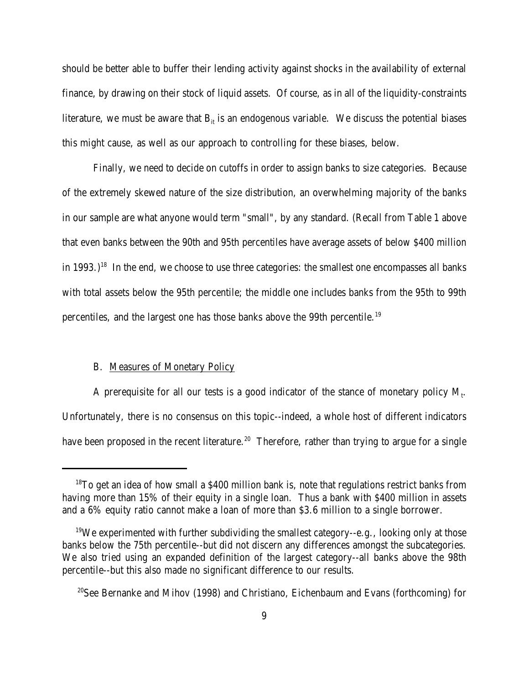should be better able to buffer their lending activity against shocks in the availability of external finance, by drawing on their stock of liquid assets. Of course, as in all of the liquidity-constraints literature, we must be aware that  $B_{it}$  is an endogenous variable. We discuss the potential biases this might cause, as well as our approach to controlling for these biases, below.

Finally, we need to decide on cutoffs in order to assign banks to size categories. Because of the extremely skewed nature of the size distribution, an overwhelming majority of the banks in our sample are what anyone would term "small", by any standard. (Recall from Table 1 above that even banks between the 90th and 95th percentiles have average assets of below \$400 million in 1993.)<sup>18</sup> In the end, we choose to use three categories: the smallest one encompasses all banks with total assets below the 95th percentile; the middle one includes banks from the 95th to 99th percentiles, and the largest one has those banks above the 99th percentile.<sup>19</sup>

### B. Measures of Monetary Policy

A prerequisite for all our tests is a good indicator of the stance of monetary policy  $M_t$ . Unfortunately, there is no consensus on this topic--indeed, a whole host of different indicators have been proposed in the recent literature.<sup>20</sup> Therefore, rather than trying to argue for a single

 $18$ To get an idea of how small a \$400 million bank is, note that regulations restrict banks from having more than 15% of their equity in a single loan. Thus a bank with \$400 million in assets and a 6% equity ratio cannot make a loan of more than \$3.6 million to a single borrower.

 $19$ We experimented with further subdividing the smallest category--e.g., looking only at those banks below the 75th percentile--but did not discern any differences amongst the subcategories. We also tried using an expanded definition of the largest category--all banks above the 98th percentile--but this also made no significant difference to our results.

<sup>&</sup>lt;sup>20</sup>See Bernanke and Mihov (1998) and Christiano, Eichenbaum and Evans (forthcoming) for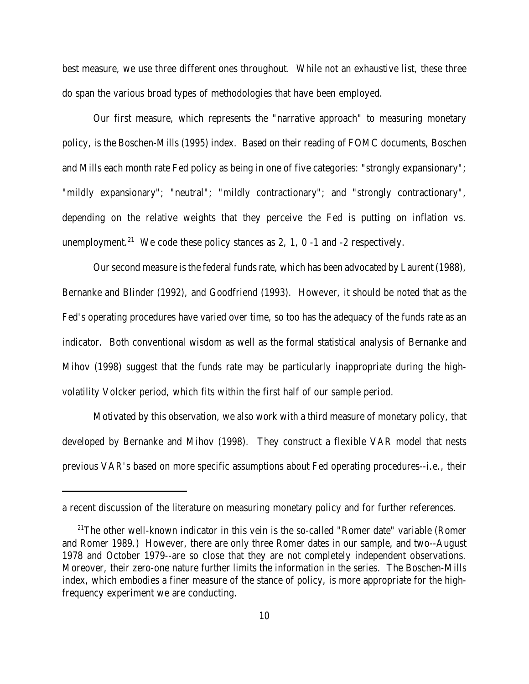best measure, we use three different ones throughout. While not an exhaustive list, these three do span the various broad types of methodologies that have been employed.

Our first measure, which represents the "narrative approach" to measuring monetary policy, is the Boschen-Mills (1995) index. Based on their reading of FOMC documents, Boschen and Mills each month rate Fed policy as being in one of five categories: "strongly expansionary"; "mildly expansionary"; "neutral"; "mildly contractionary"; and "strongly contractionary", depending on the relative weights that they perceive the Fed is putting on inflation vs. unemployment.<sup>21</sup> We code these policy stances as 2, 1, 0 -1 and -2 respectively.

Our second measure is the federal funds rate, which has been advocated by Laurent (1988), Bernanke and Blinder (1992), and Goodfriend (1993). However, it should be noted that as the Fed's operating procedures have varied over time, so too has the adequacy of the funds rate as an indicator. Both conventional wisdom as well as the formal statistical analysis of Bernanke and Mihov (1998) suggest that the funds rate may be particularly inappropriate during the highvolatility Volcker period, which fits within the first half of our sample period.

Motivated by this observation, we also work with a third measure of monetary policy, that developed by Bernanke and Mihov (1998). They construct a flexible VAR model that nests previous VAR's based on more specific assumptions about Fed operating procedures--i.e., their

a recent discussion of the literature on measuring monetary policy and for further references.

<sup>&</sup>lt;sup>21</sup>The other well-known indicator in this vein is the so-called "Romer date" variable (Romer and Romer 1989.) However, there are only three Romer dates in our sample, and two--August 1978 and October 1979--are so close that they are not completely independent observations. Moreover, their zero-one nature further limits the information in the series. The Boschen-Mills index, which embodies a finer measure of the stance of policy, is more appropriate for the highfrequency experiment we are conducting.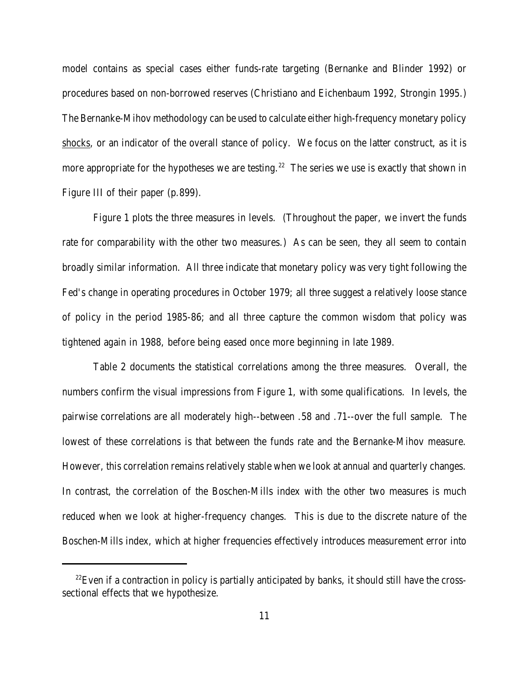model contains as special cases either funds-rate targeting (Bernanke and Blinder 1992) or procedures based on non-borrowed reserves (Christiano and Eichenbaum 1992, Strongin 1995.) The Bernanke-Mihov methodology can be used to calculate either high-frequency monetary policy shocks, or an indicator of the overall stance of policy. We focus on the latter construct, as it is more appropriate for the hypotheses we are testing.<sup>22</sup> The series we use is exactly that shown in Figure III of their paper (p.899).

Figure 1 plots the three measures in levels. (Throughout the paper, we invert the funds rate for comparability with the other two measures.) As can be seen, they all seem to contain broadly similar information. All three indicate that monetary policy was very tight following the Fed's change in operating procedures in October 1979; all three suggest a relatively loose stance of policy in the period 1985-86; and all three capture the common wisdom that policy was tightened again in 1988, before being eased once more beginning in late 1989.

Table 2 documents the statistical correlations among the three measures. Overall, the numbers confirm the visual impressions from Figure 1, with some qualifications. In levels, the pairwise correlations are all moderately high--between .58 and .71--over the full sample. The lowest of these correlations is that between the funds rate and the Bernanke-Mihov measure. However, this correlation remains relatively stable when we look at annual and quarterly changes. In contrast, the correlation of the Boschen-Mills index with the other two measures is much reduced when we look at higher-frequency changes. This is due to the discrete nature of the Boschen-Mills index, which at higher frequencies effectively introduces measurement error into

 $^{22}$ Even if a contraction in policy is partially anticipated by banks, it should still have the crosssectional effects that we hypothesize.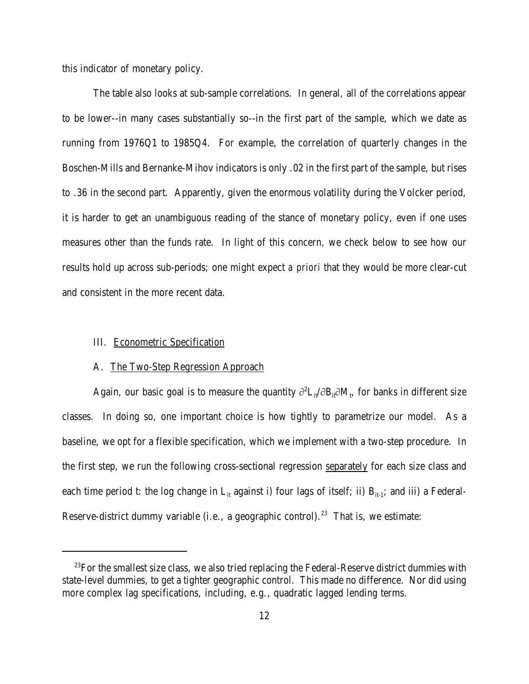this indicator of monetary policy.

The table also looks at sub-sample correlations. In general, all of the correlations appear to be lower--in many cases substantially so--in the first part of the sample, which we date as running from 1976Q1 to 1985Q4. For example, the correlation of quarterly changes in the Boschen-Mills and Bernanke-Mihov indicators is only .02 in the first part of the sample, but rises to .36 in the second part. Apparently, given the enormous volatility during the Volcker period, it is harder to get an unambiguous reading of the stance of monetary policy, even if one uses measures other than the funds rate. In light of this concern, we check below to see how our results hold up across sub-periods; one might expect *a priori* that they would be more clear-cut and consistent in the more recent data.

# III. Econometric Specification

#### A. The Two-Step Regression Approach

Again, our basic goal is to measure the quantity  $\partial^2 L_{it}/\partial B_{it} \partial M_t$ , for banks in different size classes. In doing so, one important choice is how tightly to parametrize our model. As a baseline, we opt for a flexible specification, which we implement with a two-step procedure. In the first step, we run the following cross-sectional regression separately for each size class and each time period t: the log change in  $L_{it}$  against i) four lags of itself; ii)  $B_{it-1}$ ; and iii) a Federal-Reserve-district dummy variable (i.e., a geographic control).<sup>23</sup> That is, we estimate:

<sup>&</sup>lt;sup>23</sup>For the smallest size class, we also tried replacing the Federal-Reserve district dummies with state-level dummies, to get a tighter geographic control. This made no difference. Nor did using more complex lag specifications, including, e.g., quadratic lagged lending terms.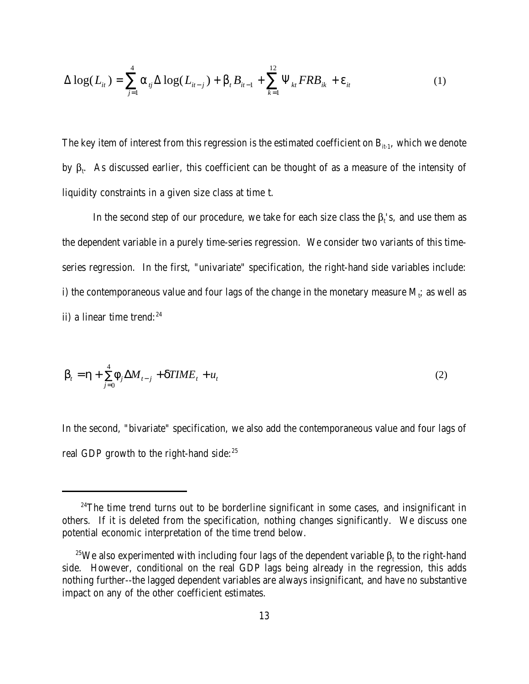$$
\Delta \log(L_{it}) = \sum_{j=1}^{4} a_{ij} \Delta \log(L_{it-j}) + b_{t} B_{it-1} + \sum_{k=1}^{12} \Psi_{kt} FRB_{ik} + e_{it}
$$
(1)

The key item of interest from this regression is the estimated coefficient on  $B_{it-1}$ , which we denote by  $\beta_t$ . As discussed earlier, this coefficient can be thought of as a measure of the intensity of liquidity constraints in a given size class at time t.

In the second step of our procedure, we take for each size class the  $\beta_t$ 's, and use them as the dependent variable in a purely time-series regression. We consider two variants of this timeseries regression. In the first, "univariate" specification, the right-hand side variables include: i) the contemporaneous value and four lags of the change in the monetary measure  $\mathrm{M_{t}}$ ; as well as ii) a linear time trend: $24$ 

$$
\boldsymbol{b}_{t} = \boldsymbol{h} + \sum_{j=0}^{4} \boldsymbol{f}_{j} \Delta \boldsymbol{M}_{t-j} + \boldsymbol{d} \boldsymbol{T} \boldsymbol{I} \boldsymbol{M} \boldsymbol{E}_{t} + \boldsymbol{u}_{t}
$$
\n(2)

In the second, "bivariate" specification, we also add the contemporaneous value and four lags of real GDP growth to the right-hand side:<sup>25</sup>

 $24$ The time trend turns out to be borderline significant in some cases, and insignificant in others. If it is deleted from the specification, nothing changes significantly. We discuss one potential economic interpretation of the time trend below.

<sup>&</sup>lt;sup>25</sup>We also experimented with including four lags of the dependent variable  $\beta_t$  to the right-hand side. However, conditional on the real GDP lags being already in the regression, this adds nothing further--the lagged dependent variables are always insignificant, and have no substantive impact on any of the other coefficient estimates.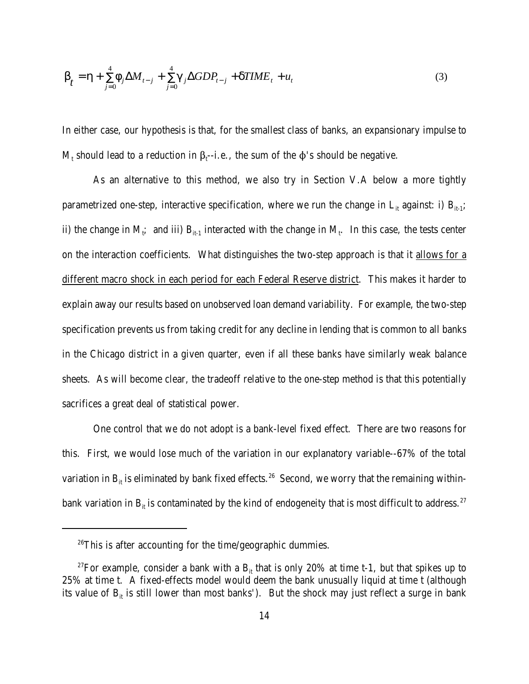$$
b_{t} = h + \sum_{j=0}^{4} f_{j} \Delta M_{t-j} + \sum_{j=0}^{4} g_{j} \Delta GDP_{t-j} + dTIME_{t} + u_{t}
$$
\n(3)

In either case, our hypothesis is that, for the smallest class of banks, an expansionary impulse to  $M_t$  should lead to a reduction in  $\beta_t$ --i.e., the sum of the  $\varphi$ 's should be negative.

As an alternative to this method, we also try in Section V.A below a more tightly parametrized one-step, interactive specification, where we run the change in  $L_{it}$  against: i)  $B_{it-1}$ ; ii) the change in M<sub>i</sub>; and iii)  $B_{it-1}$  interacted with the change in M<sub>t</sub>. In this case, the tests center on the interaction coefficients. What distinguishes the two-step approach is that it allows for a different macro shock in each period for each Federal Reserve district. This makes it harder to explain away our results based on unobserved loan demand variability. For example, the two-step specification prevents us from taking credit for any decline in lending that is common to all banks in the Chicago district in a given quarter, even if all these banks have similarly weak balance sheets. As will become clear, the tradeoff relative to the one-step method is that this potentially sacrifices a great deal of statistical power.

One control that we do not adopt is a bank-level fixed effect. There are two reasons for this. First, we would lose much of the variation in our explanatory variable--67% of the total variation in  $B_{it}$  is eliminated by bank fixed effects.<sup>26</sup> Second, we worry that the remaining withinbank variation in  $B_{it}$  is contaminated by the kind of endogeneity that is most difficult to address.<sup>27</sup>

 $26$ This is after accounting for the time/geographic dummies.

<sup>&</sup>lt;sup>27</sup>For example, consider a bank with a  $B_{it}$  that is only 20% at time t-1, but that spikes up to 25% at time t. A fixed-effects model would deem the bank unusually liquid at time t (although its value of  $B_{it}$  is still lower than most banks'). But the shock may just reflect a surge in bank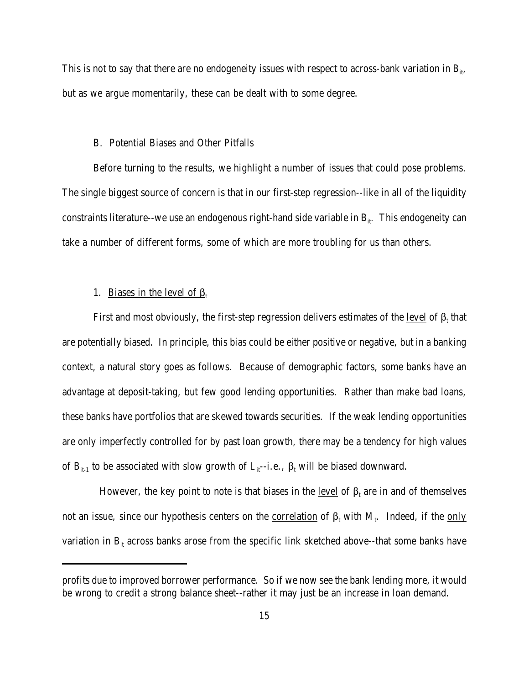This is not to say that there are no endogeneity issues with respect to across-bank variation in  $B_{ii}$ , but as we argue momentarily, these can be dealt with to some degree.

# B. Potential Biases and Other Pitfalls

Before turning to the results, we highlight a number of issues that could pose problems. The single biggest source of concern is that in our first-step regression--like in all of the liquidity constraints literature--we use an endogenous right-hand side variable in  $B_{ii}$ . This endogeneity can take a number of different forms, some of which are more troubling for us than others.

# 1. Biases in the level of  $\beta_t$

First and most obviously, the first-step regression delivers estimates of the <u>level</u> of  $\beta_t$  that are potentially biased. In principle, this bias could be either positive or negative, but in a banking context, a natural story goes as follows. Because of demographic factors, some banks have an advantage at deposit-taking, but few good lending opportunities. Rather than make bad loans, these banks have portfolios that are skewed towards securities. If the weak lending opportunities are only imperfectly controlled for by past loan growth, there may be a tendency for high values of  $B_{it-1}$  to be associated with slow growth of  $L_{it}$ -i.e.,  $\beta_t$  will be biased downward.

However, the key point to note is that biases in the <u>level</u> of  $\beta_t$  are in and of themselves not an issue, since our hypothesis centers on the <u>correlation</u> of  $\beta_t$  with  $M_t$ . Indeed, if the <u>only</u> variation in  $B_{it}$  across banks arose from the specific link sketched above--that some banks have

profits due to improved borrower performance. So if we now see the bank lending more, it would be wrong to credit a strong balance sheet--rather it may just be an increase in loan demand.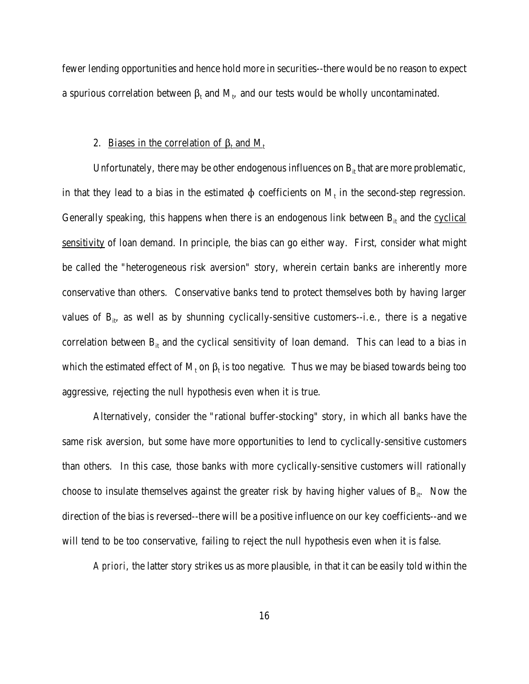fewer lending opportunities and hence hold more in securities--there would be no reason to expect a spurious correlation between  $\beta_t$  and  $M_t$ , and our tests would be wholly uncontaminated.

# 2. <u>Biases in the correlation of  $\beta_t$  and  $M_t$ </u>

Unfortunately, there may be other endogenous influences on  $B<sub>it</sub>$  that are more problematic, in that they lead to a bias in the estimated  $\phi$  coefficients on  $M_t$  in the second-step regression. Generally speaking, this happens when there is an endogenous link between  $B<sub>it</sub>$  and the cyclical sensitivity of loan demand. In principle, the bias can go either way. First, consider what might be called the "heterogeneous risk aversion" story, wherein certain banks are inherently more conservative than others. Conservative banks tend to protect themselves both by having larger values of  $B_{ii}$ , as well as by shunning cyclically-sensitive customers--i.e., there is a negative correlation between  $B_{it}$  and the cyclical sensitivity of loan demand. This can lead to a bias in which the estimated effect of  $\rm M_{t}$  on  $\rm \beta_{t}$  is too negative. Thus we may be biased towards being too aggressive, rejecting the null hypothesis even when it is true.

Alternatively, consider the "rational buffer-stocking" story, in which all banks have the same risk aversion, but some have more opportunities to lend to cyclically-sensitive customers than others. In this case, those banks with more cyclically-sensitive customers will rationally choose to insulate themselves against the greater risk by having higher values of  $B_{it}$ . Now the direction of the bias is reversed--there will be a positive influence on our key coefficients--and we will tend to be too conservative, failing to reject the null hypothesis even when it is false.

*A priori*, the latter story strikes us as more plausible, in that it can be easily told within the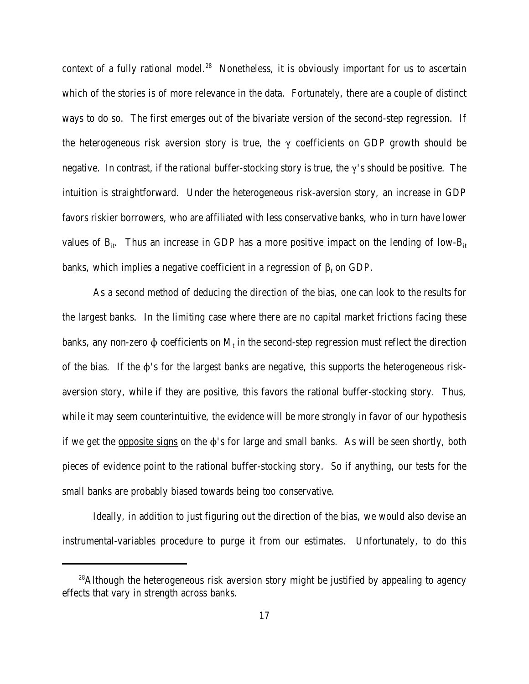context of a fully rational model.<sup>28</sup> Nonetheless, it is obviously important for us to ascertain which of the stories is of more relevance in the data. Fortunately, there are a couple of distinct ways to do so. The first emerges out of the bivariate version of the second-step regression. If the heterogeneous risk aversion story is true, the  $\gamma$  coefficients on GDP growth should be negative. In contrast, if the rational buffer-stocking story is true, the  $\gamma$ 's should be positive. The intuition is straightforward. Under the heterogeneous risk-aversion story, an increase in GDP favors riskier borrowers, who are affiliated with less conservative banks, who in turn have lower values of  $B_{it}$ . Thus an increase in GDP has a more positive impact on the lending of low- $B_{it}$ banks, which implies a negative coefficient in a regression of  $\beta_t$  on GDP.

 As a second method of deducing the direction of the bias, one can look to the results for the largest banks. In the limiting case where there are no capital market frictions facing these banks, any non-zero  $\Phi$  coefficients on  $\mathrm{M_{t}}$  in the second-step regression must reflect the direction of the bias. If the  $\phi$ 's for the largest banks are negative, this supports the heterogeneous riskaversion story, while if they are positive, this favors the rational buffer-stocking story. Thus, while it may seem counterintuitive, the evidence will be more strongly in favor of our hypothesis if we get the opposite signs on the  $\phi$ 's for large and small banks. As will be seen shortly, both pieces of evidence point to the rational buffer-stocking story. So if anything, our tests for the small banks are probably biased towards being too conservative.

Ideally, in addition to just figuring out the direction of the bias, we would also devise an instrumental-variables procedure to purge it from our estimates. Unfortunately, to do this

<sup>&</sup>lt;sup>28</sup>Although the heterogeneous risk aversion story might be justified by appealing to agency effects that vary in strength across banks.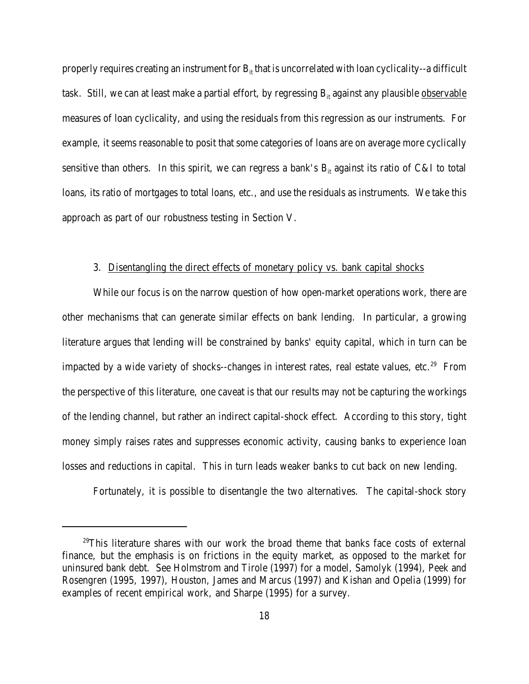properly requires creating an instrument for  $B<sub>it</sub>$  that is uncorrelated with loan cyclicality--a difficult task. Still, we can at least make a partial effort, by regressing  $B<sub>it</sub>$  against any plausible observable measures of loan cyclicality, and using the residuals from this regression as our instruments. For example, it seems reasonable to posit that some categories of loans are on average more cyclically sensitive than others. In this spirit, we can regress a bank's  $B<sub>it</sub>$  against its ratio of C&I to total loans, its ratio of mortgages to total loans, etc., and use the residuals as instruments. We take this approach as part of our robustness testing in Section V.

# 3. Disentangling the direct effects of monetary policy vs. bank capital shocks

While our focus is on the narrow question of how open-market operations work, there are other mechanisms that can generate similar effects on bank lending. In particular, a growing literature argues that lending will be constrained by banks' equity capital, which in turn can be impacted by a wide variety of shocks--changes in interest rates, real estate values, etc.<sup>29</sup> From the perspective of this literature, one caveat is that our results may not be capturing the workings of the lending channel, but rather an indirect capital-shock effect. According to this story, tight money simply raises rates and suppresses economic activity, causing banks to experience loan losses and reductions in capital. This in turn leads weaker banks to cut back on new lending.

Fortunately, it is possible to disentangle the two alternatives. The capital-shock story

<sup>&</sup>lt;sup>29</sup>This literature shares with our work the broad theme that banks face costs of external finance, but the emphasis is on frictions in the equity market, as opposed to the market for uninsured bank debt. See Holmstrom and Tirole (1997) for a model, Samolyk (1994), Peek and Rosengren (1995, 1997), Houston, James and Marcus (1997) and Kishan and Opelia (1999) for examples of recent empirical work, and Sharpe (1995) for a survey.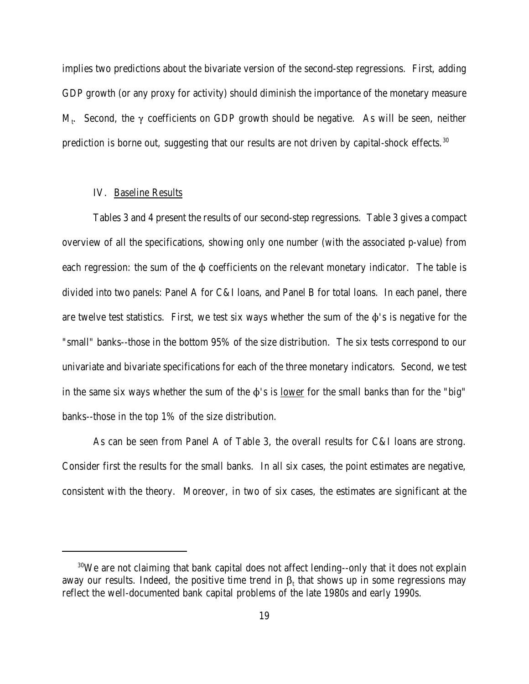implies two predictions about the bivariate version of the second-step regressions. First, adding GDP growth (or any proxy for activity) should diminish the importance of the monetary measure M<sub>t</sub>. Second, the  $\gamma$  coefficients on GDP growth should be negative. As will be seen, neither prediction is borne out, suggesting that our results are not driven by capital-shock effects.<sup>30</sup>

# IV. Baseline Results

Tables 3 and 4 present the results of our second-step regressions. Table 3 gives a compact overview of all the specifications, showing only one number (with the associated p-value) from each regression: the sum of the  $\phi$  coefficients on the relevant monetary indicator. The table is divided into two panels: Panel A for C&I loans, and Panel B for total loans. In each panel, there are twelve test statistics. First, we test six ways whether the sum of the  $\phi$ 's is negative for the "small" banks--those in the bottom 95% of the size distribution. The six tests correspond to our univariate and bivariate specifications for each of the three monetary indicators. Second, we test in the same six ways whether the sum of the  $\phi$ 's is <u>lower</u> for the small banks than for the "big" banks--those in the top 1% of the size distribution.

As can be seen from Panel A of Table 3, the overall results for C&I loans are strong. Consider first the results for the small banks. In all six cases, the point estimates are negative, consistent with the theory. Moreover, in two of six cases, the estimates are significant at the

<sup>&</sup>lt;sup>30</sup>We are not claiming that bank capital does not affect lending--only that it does not explain away our results. Indeed, the positive time trend in  $\beta_t$  that shows up in some regressions may reflect the well-documented bank capital problems of the late 1980s and early 1990s.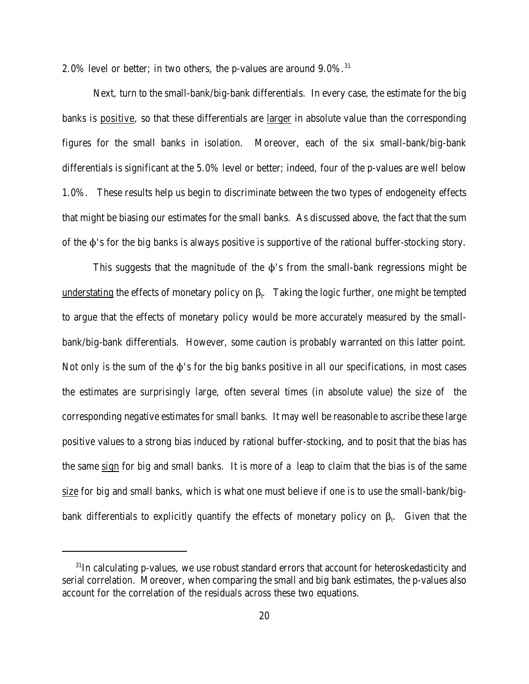2.0% level or better; in two others, the p-values are around  $9.0\%$ .<sup>31</sup>

Next, turn to the small-bank/big-bank differentials. In every case, the estimate for the big banks is positive, so that these differentials are larger in absolute value than the corresponding figures for the small banks in isolation. Moreover, each of the six small-bank/big-bank differentials is significant at the 5.0% level or better; indeed, four of the p-values are well below 1.0%. These results help us begin to discriminate between the two types of endogeneity effects that might be biasing our estimates for the small banks. As discussed above, the fact that the sum of the  $\phi$ 's for the big banks is always positive is supportive of the rational buffer-stocking story.

This suggests that the magnitude of the  $\phi$ 's from the small-bank regressions might be  $\underline{\text{understating}}$  the effects of monetary policy on  $\beta_{t}.$  Taking the logic further, one might be tempted to argue that the effects of monetary policy would be more accurately measured by the smallbank/big-bank differentials. However, some caution is probably warranted on this latter point. Not only is the sum of the  $\phi$ 's for the big banks positive in all our specifications, in most cases the estimates are surprisingly large, often several times (in absolute value) the size of the corresponding negative estimates for small banks. It may well be reasonable to ascribe these large positive values to a strong bias induced by rational buffer-stocking, and to posit that the bias has the same sign for big and small banks. It is more of a leap to claim that the bias is of the same size for big and small banks, which is what one must believe if one is to use the small-bank/bigbank differentials to explicitly quantify the effects of monetary policy on  $\beta_t$ . Given that the

 $31$ In calculating p-values, we use robust standard errors that account for heteroskedasticity and serial correlation. Moreover, when comparing the small and big bank estimates, the p-values also account for the correlation of the residuals across these two equations.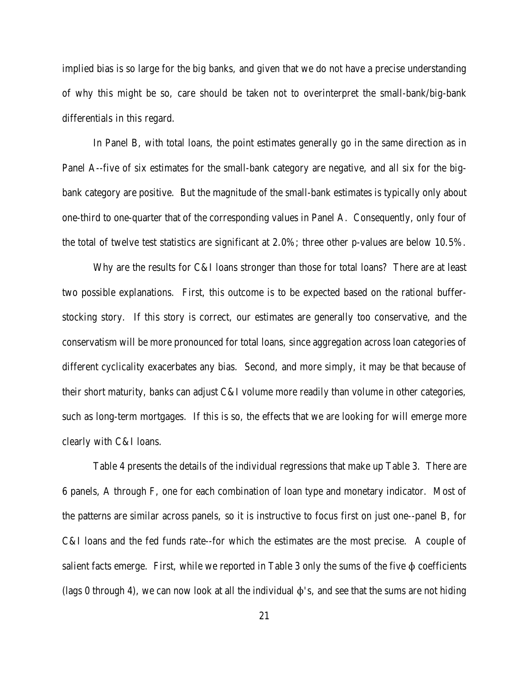implied bias is so large for the big banks, and given that we do not have a precise understanding of why this might be so, care should be taken not to overinterpret the small-bank/big-bank differentials in this regard.

In Panel B, with total loans, the point estimates generally go in the same direction as in Panel A--five of six estimates for the small-bank category are negative, and all six for the bigbank category are positive. But the magnitude of the small-bank estimates is typically only about one-third to one-quarter that of the corresponding values in Panel A. Consequently, only four of the total of twelve test statistics are significant at 2.0%; three other p-values are below 10.5%.

Why are the results for C&I loans stronger than those for total loans? There are at least two possible explanations. First, this outcome is to be expected based on the rational bufferstocking story. If this story is correct, our estimates are generally too conservative, and the conservatism will be more pronounced for total loans, since aggregation across loan categories of different cyclicality exacerbates any bias. Second, and more simply, it may be that because of their short maturity, banks can adjust C&I volume more readily than volume in other categories, such as long-term mortgages. If this is so, the effects that we are looking for will emerge more clearly with C&I loans.

Table 4 presents the details of the individual regressions that make up Table 3. There are 6 panels, A through F, one for each combination of loan type and monetary indicator. Most of the patterns are similar across panels, so it is instructive to focus first on just one--panel B, for C&I loans and the fed funds rate--for which the estimates are the most precise. A couple of salient facts emerge. First, while we reported in Table 3 only the sums of the five  $\phi$  coefficients (lags 0 through 4), we can now look at all the individual  $\phi$ 's, and see that the sums are not hiding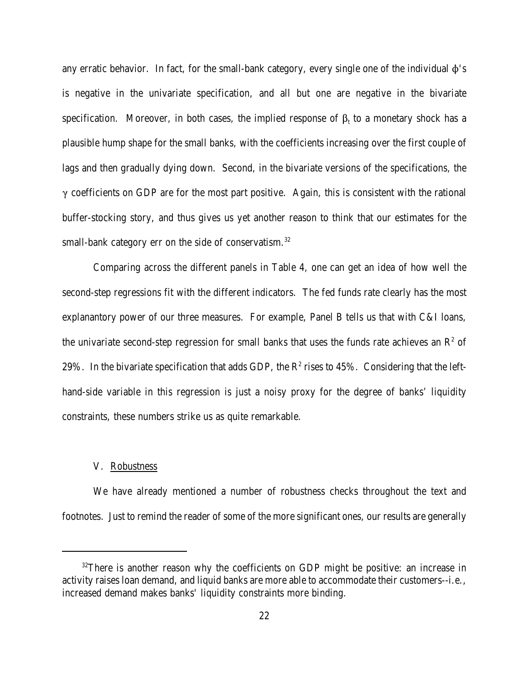any erratic behavior. In fact, for the small-bank category, every single one of the individual  $\phi$ 's is negative in the univariate specification, and all but one are negative in the bivariate specification. Moreover, in both cases, the implied response of  $\beta_t$  to a monetary shock has a plausible hump shape for the small banks, with the coefficients increasing over the first couple of lags and then gradually dying down. Second, in the bivariate versions of the specifications, the  $\gamma$  coefficients on GDP are for the most part positive. Again, this is consistent with the rational buffer-stocking story, and thus gives us yet another reason to think that our estimates for the small-bank category err on the side of conservatism.<sup>32</sup>

Comparing across the different panels in Table 4, one can get an idea of how well the second-step regressions fit with the different indicators. The fed funds rate clearly has the most explanantory power of our three measures. For example, Panel B tells us that with C&I loans, the univariate second-step regression for small banks that uses the funds rate achieves an  $\mathbb{R}^2$  of 29%. In the bivariate specification that adds GDP, the  $\mathbb{R}^2$  rises to 45%. Considering that the lefthand-side variable in this regression is just a noisy proxy for the degree of banks' liquidity constraints, these numbers strike us as quite remarkable.

### V. Robustness

We have already mentioned a number of robustness checks throughout the text and footnotes. Just to remind the reader of some of the more significant ones, our results are generally

<sup>&</sup>lt;sup>32</sup>There is another reason why the coefficients on GDP might be positive: an increase in activity raises loan demand, and liquid banks are more able to accommodate their customers--i.e., increased demand makes banks' liquidity constraints more binding.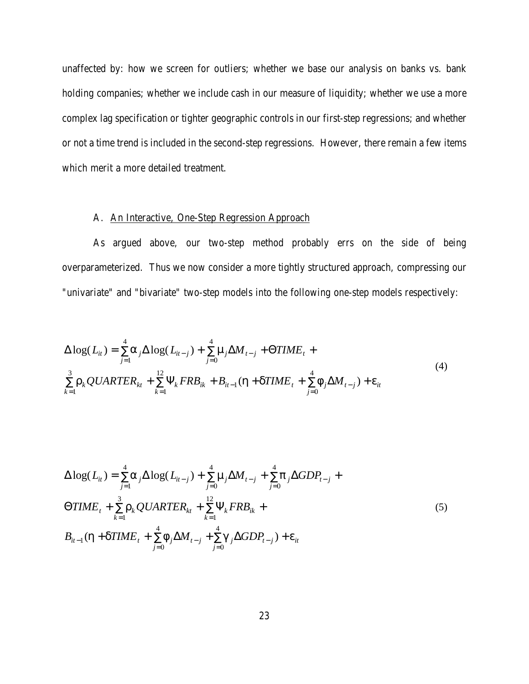unaffected by: how we screen for outliers; whether we base our analysis on banks vs. bank holding companies; whether we include cash in our measure of liquidity; whether we use a more complex lag specification or tighter geographic controls in our first-step regressions; and whether or not a time trend is included in the second-step regressions. However, there remain a few items which merit a more detailed treatment.

# A. An Interactive, One-Step Regression Approach

As argued above, our two-step method probably errs on the side of being overparameterized. Thus we now consider a more tightly structured approach, compressing our "univariate" and "bivariate" two-step models into the following one-step models respectively:

$$
\Delta \log(L_{it}) = \sum_{j=1}^{4} a_j \Delta \log(L_{it-j}) + \sum_{j=0}^{4} m_j \Delta M_{t-j} + \Theta TIME_t + \sum_{k=1}^{3} r_k QUARTER_{kt} + \sum_{k=1}^{12} \Psi_k FRB_{ik} + B_{it-1} (h + dTIME_t + \sum_{j=0}^{4} f_j \Delta M_{t-j}) + e_{it}
$$
\n(4)

$$
\Delta \log(L_{it}) = \sum_{j=1}^{4} a_j \Delta \log(L_{it-j}) + \sum_{j=0}^{4} m_j \Delta M_{t-j} + \sum_{j=0}^{4} p_j \Delta GDP_{t-j} +
$$
  
\n
$$
\Theta TIME_t + \sum_{k=1}^{3} r_k QUARTER_{kt} + \sum_{k=1}^{12} \Psi_k FRB_{ik} +
$$
  
\n
$$
B_{it-1} (h + dTIME_t + \sum_{j=0}^{4} f_j \Delta M_{t-j} + \sum_{j=0}^{4} g_j \Delta GDP_{t-j}) + e_{it}
$$
\n(5)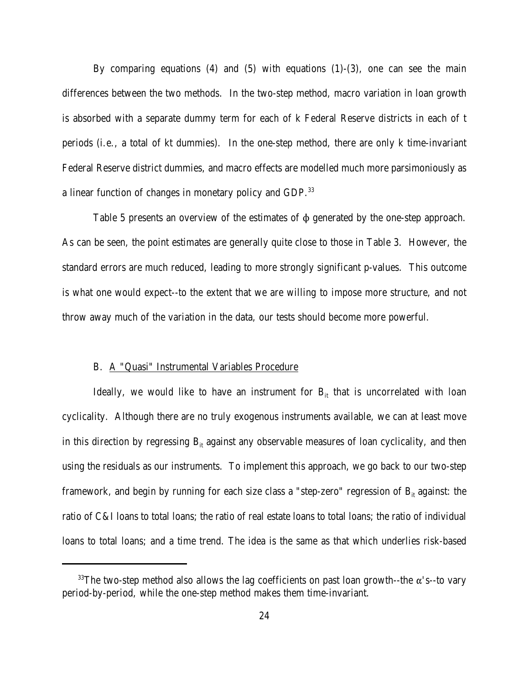By comparing equations  $(4)$  and  $(5)$  with equations  $(1)-(3)$ , one can see the main differences between the two methods. In the two-step method, macro variation in loan growth is absorbed with a separate dummy term for each of k Federal Reserve districts in each of t periods (i.e., a total of kt dummies). In the one-step method, there are only k time-invariant Federal Reserve district dummies, and macro effects are modelled much more parsimoniously as a linear function of changes in monetary policy and GDP.<sup>33</sup>

Table 5 presents an overview of the estimates of  $\phi$  generated by the one-step approach. As can be seen, the point estimates are generally quite close to those in Table 3. However, the standard errors are much reduced, leading to more strongly significant p-values. This outcome is what one would expect--to the extent that we are willing to impose more structure, and not throw away much of the variation in the data, our tests should become more powerful.

# B. A "Quasi" Instrumental Variables Procedure

Ideally, we would like to have an instrument for  $B_{it}$  that is uncorrelated with loan cyclicality. Although there are no truly exogenous instruments available, we can at least move in this direction by regressing  $B<sub>it</sub>$  against any observable measures of loan cyclicality, and then using the residuals as our instruments. To implement this approach, we go back to our two-step framework, and begin by running for each size class a "step-zero" regression of  $B<sub>it</sub>$  against: the ratio of C&I loans to total loans; the ratio of real estate loans to total loans; the ratio of individual loans to total loans; and a time trend. The idea is the same as that which underlies risk-based

<sup>&</sup>lt;sup>33</sup>The two-step method also allows the lag coefficients on past loan growth--the  $\alpha$ 's--to vary period-by-period, while the one-step method makes them time-invariant.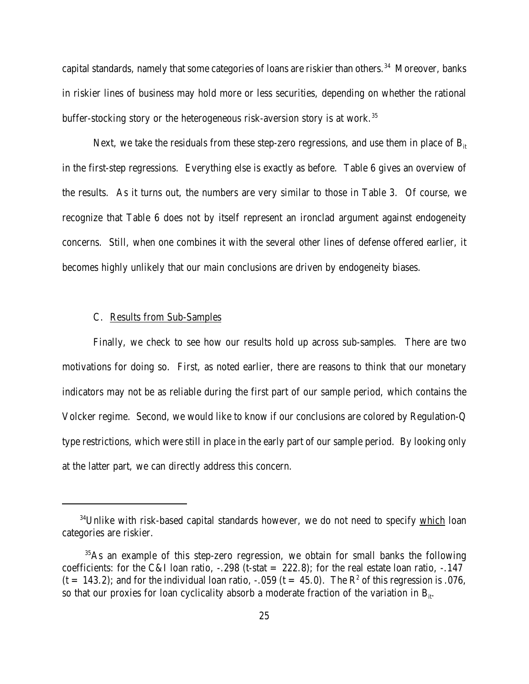capital standards, namely that some categories of loans are riskier than others.<sup>34</sup> Moreover, banks in riskier lines of business may hold more or less securities, depending on whether the rational buffer-stocking story or the heterogeneous risk-aversion story is at work.<sup>35</sup>

Next, we take the residuals from these step-zero regressions, and use them in place of  $B<sub>it</sub>$ in the first-step regressions. Everything else is exactly as before. Table 6 gives an overview of the results. As it turns out, the numbers are very similar to those in Table 3. Of course, we recognize that Table 6 does not by itself represent an ironclad argument against endogeneity concerns. Still, when one combines it with the several other lines of defense offered earlier, it becomes highly unlikely that our main conclusions are driven by endogeneity biases.

### C. Results from Sub-Samples

Finally, we check to see how our results hold up across sub-samples. There are two motivations for doing so. First, as noted earlier, there are reasons to think that our monetary indicators may not be as reliable during the first part of our sample period, which contains the Volcker regime. Second, we would like to know if our conclusions are colored by Regulation-Q type restrictions, which were still in place in the early part of our sample period. By looking only at the latter part, we can directly address this concern.

 $34$ Unlike with risk-based capital standards however, we do not need to specify which loan categories are riskier.

<sup>35</sup>As an example of this step-zero regression, we obtain for small banks the following coefficients: for the C&I loan ratio,  $-.298$  (t-stat = 222.8); for the real estate loan ratio,  $-.147$  $(t = 143.2)$ ; and for the individual loan ratio,  $-.059$   $(t = 45.0)$ . The  $\mathbb{R}^2$  of this regression is .076, so that our proxies for loan cyclicality absorb a moderate fraction of the variation in  $B_{ii}$ .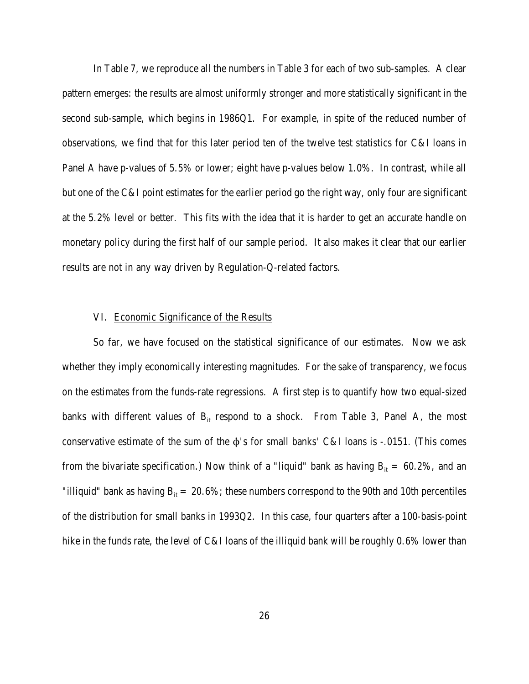In Table 7, we reproduce all the numbers in Table 3 for each of two sub-samples. A clear pattern emerges: the results are almost uniformly stronger and more statistically significant in the second sub-sample, which begins in 1986Q1. For example, in spite of the reduced number of observations, we find that for this later period ten of the twelve test statistics for C&I loans in Panel A have p-values of 5.5% or lower; eight have p-values below 1.0%. In contrast, while all but one of the C&I point estimates for the earlier period go the right way, only four are significant at the 5.2% level or better. This fits with the idea that it is harder to get an accurate handle on monetary policy during the first half of our sample period. It also makes it clear that our earlier results are not in any way driven by Regulation-Q-related factors.

#### VI. Economic Significance of the Results

So far, we have focused on the statistical significance of our estimates. Now we ask whether they imply economically interesting magnitudes. For the sake of transparency, we focus on the estimates from the funds-rate regressions. A first step is to quantify how two equal-sized banks with different values of  $B_{it}$  respond to a shock. From Table 3, Panel A, the most conservative estimate of the sum of the  $\phi$ 's for small banks' C&I loans is -.0151. (This comes from the bivariate specification.) Now think of a "liquid" bank as having  $B<sub>it</sub> = 60.2%$ , and an "illiquid" bank as having  $B_{it} = 20.6\%$ ; these numbers correspond to the 90th and 10th percentiles of the distribution for small banks in 1993Q2. In this case, four quarters after a 100-basis-point hike in the funds rate, the level of C&I loans of the illiquid bank will be roughly 0.6% lower than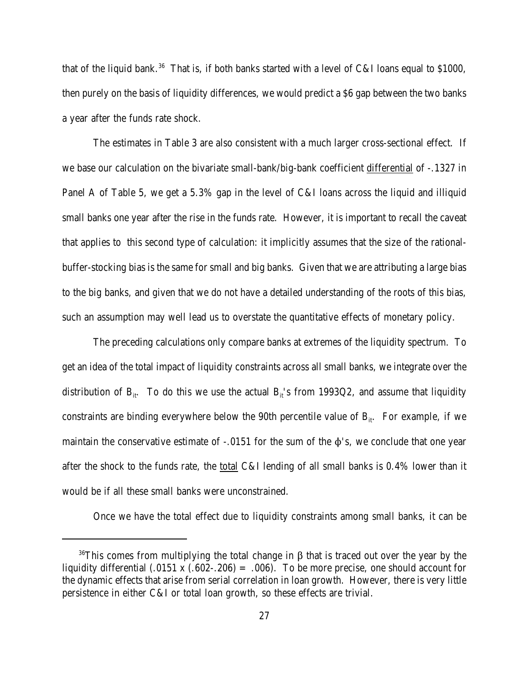that of the liquid bank.<sup>36</sup> That is, if both banks started with a level of C&I loans equal to \$1000, then purely on the basis of liquidity differences, we would predict a \$6 gap between the two banks a year after the funds rate shock.

The estimates in Table 3 are also consistent with a much larger cross-sectional effect. If we base our calculation on the bivariate small-bank/big-bank coefficient differential of -.1327 in Panel A of Table 5, we get a 5.3% gap in the level of C&I loans across the liquid and illiquid small banks one year after the rise in the funds rate. However, it is important to recall the caveat that applies to this second type of calculation: it implicitly assumes that the size of the rationalbuffer-stocking bias is the same for small and big banks. Given that we are attributing a large bias to the big banks, and given that we do not have a detailed understanding of the roots of this bias, such an assumption may well lead us to overstate the quantitative effects of monetary policy.

The preceding calculations only compare banks at extremes of the liquidity spectrum. To get an idea of the total impact of liquidity constraints across all small banks, we integrate over the distribution of  $B_{it}$ . To do this we use the actual  $B_{it}$ 's from 1993Q2, and assume that liquidity constraints are binding everywhere below the 90th percentile value of  $B_{it}$ . For example, if we maintain the conservative estimate of  $-.0151$  for the sum of the  $\phi$ 's, we conclude that one year after the shock to the funds rate, the total C&I lending of all small banks is 0.4% lower than it would be if all these small banks were unconstrained.

Once we have the total effect due to liquidity constraints among small banks, it can be

<sup>&</sup>lt;sup>36</sup>This comes from multiplying the total change in  $\beta$  that is traced out over the year by the liquidity differential  $(.0151 \times (.602-.206) = .006)$ . To be more precise, one should account for the dynamic effects that arise from serial correlation in loan growth. However, there is very little persistence in either C&I or total loan growth, so these effects are trivial.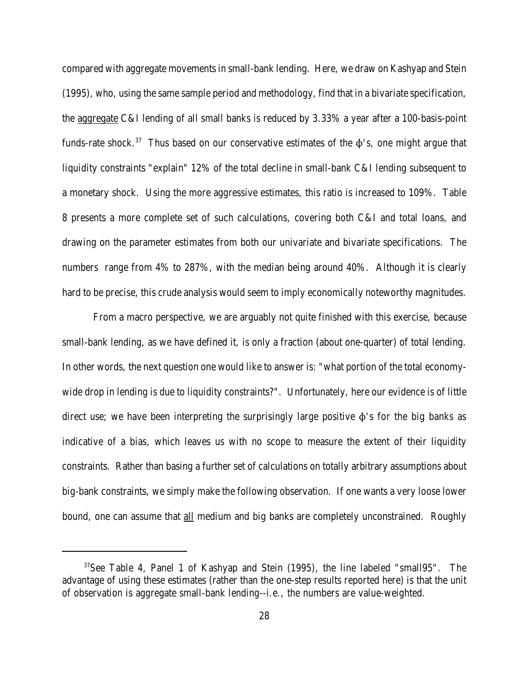compared with aggregate movements in small-bank lending. Here, we draw on Kashyap and Stein (1995), who, using the same sample period and methodology, find that in a bivariate specification, the aggregate C&I lending of all small banks is reduced by 3.33% a year after a 100-basis-point funds-rate shock.<sup>37</sup> Thus based on our conservative estimates of the  $\phi$ 's, one might argue that liquidity constraints "explain" 12% of the total decline in small-bank C&I lending subsequent to a monetary shock. Using the more aggressive estimates, this ratio is increased to 109%. Table 8 presents a more complete set of such calculations, covering both C&I and total loans, and drawing on the parameter estimates from both our univariate and bivariate specifications. The numbers range from 4% to 287%, with the median being around 40%. Although it is clearly hard to be precise, this crude analysis would seem to imply economically noteworthy magnitudes.

From a macro perspective, we are arguably not quite finished with this exercise, because small-bank lending, as we have defined it, is only a fraction (about one-quarter) of total lending. In other words, the next question one would like to answer is: "what portion of the total economywide drop in lending is due to liquidity constraints?". Unfortunately, here our evidence is of little direct use; we have been interpreting the surprisingly large positive  $\phi$ 's for the big banks as indicative of a bias, which leaves us with no scope to measure the extent of their liquidity constraints. Rather than basing a further set of calculations on totally arbitrary assumptions about big-bank constraints, we simply make the following observation. If one wants a very loose lower bound, one can assume that all medium and big banks are completely unconstrained. Roughly

<sup>37</sup>See Table 4, Panel 1 of Kashyap and Stein (1995), the line labeled "small95". The advantage of using these estimates (rather than the one-step results reported here) is that the unit of observation is aggregate small-bank lending--i.e., the numbers are value-weighted.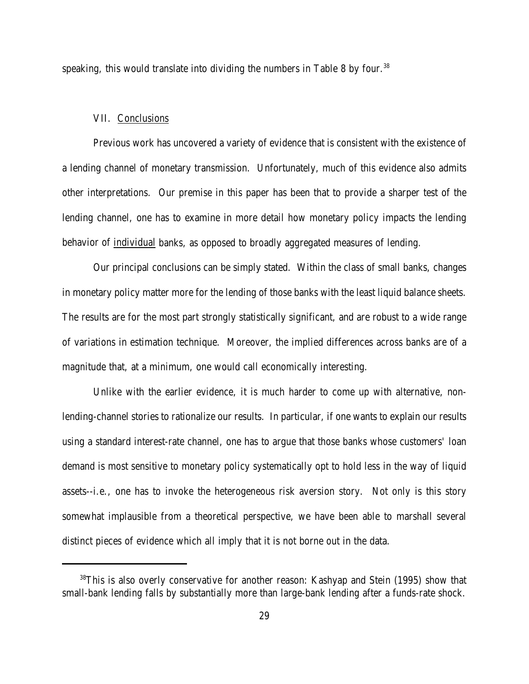speaking, this would translate into dividing the numbers in Table 8 by four.<sup>38</sup>

# VII. Conclusions

Previous work has uncovered a variety of evidence that is consistent with the existence of a lending channel of monetary transmission. Unfortunately, much of this evidence also admits other interpretations. Our premise in this paper has been that to provide a sharper test of the lending channel, one has to examine in more detail how monetary policy impacts the lending behavior of individual banks, as opposed to broadly aggregated measures of lending.

Our principal conclusions can be simply stated. Within the class of small banks, changes in monetary policy matter more for the lending of those banks with the least liquid balance sheets. The results are for the most part strongly statistically significant, and are robust to a wide range of variations in estimation technique. Moreover, the implied differences across banks are of a magnitude that, at a minimum, one would call economically interesting.

Unlike with the earlier evidence, it is much harder to come up with alternative, nonlending-channel stories to rationalize our results. In particular, if one wants to explain our results using a standard interest-rate channel, one has to argue that those banks whose customers' loan demand is most sensitive to monetary policy systematically opt to hold less in the way of liquid assets--i.e., one has to invoke the heterogeneous risk aversion story. Not only is this story somewhat implausible from a theoretical perspective, we have been able to marshall several distinct pieces of evidence which all imply that it is not borne out in the data.

<sup>&</sup>lt;sup>38</sup>This is also overly conservative for another reason: Kashyap and Stein (1995) show that small-bank lending falls by substantially more than large-bank lending after a funds-rate shock.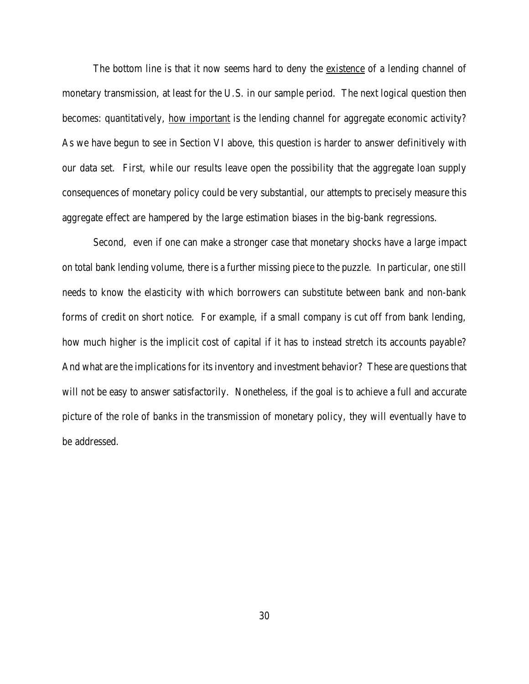The bottom line is that it now seems hard to deny the existence of a lending channel of monetary transmission, at least for the U.S. in our sample period. The next logical question then becomes: quantitatively, how important is the lending channel for aggregate economic activity? As we have begun to see in Section VI above, this question is harder to answer definitively with our data set. First, while our results leave open the possibility that the aggregate loan supply consequences of monetary policy could be very substantial, our attempts to precisely measure this aggregate effect are hampered by the large estimation biases in the big-bank regressions.

Second, even if one can make a stronger case that monetary shocks have a large impact on total bank lending volume, there is a further missing piece to the puzzle. In particular, one still needs to know the elasticity with which borrowers can substitute between bank and non-bank forms of credit on short notice. For example, if a small company is cut off from bank lending, how much higher is the implicit cost of capital if it has to instead stretch its accounts payable? And what are the implications for its inventory and investment behavior? These are questions that will not be easy to answer satisfactorily. Nonetheless, if the goal is to achieve a full and accurate picture of the role of banks in the transmission of monetary policy, they will eventually have to be addressed.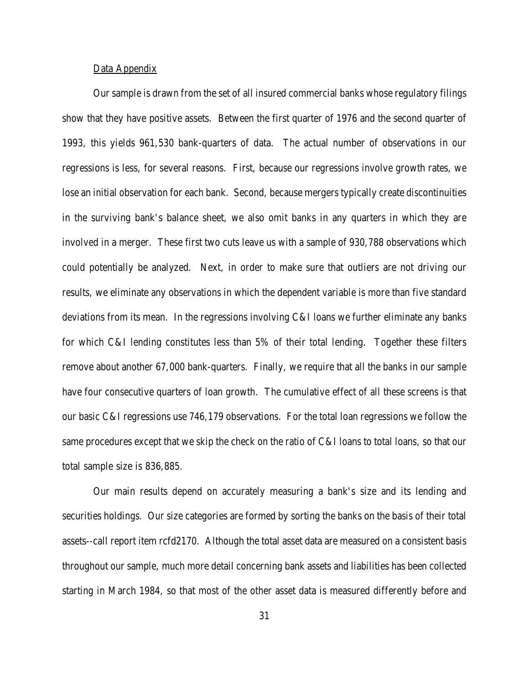# Data Appendix

Our sample is drawn from the set of all insured commercial banks whose regulatory filings show that they have positive assets. Between the first quarter of 1976 and the second quarter of 1993, this yields 961,530 bank-quarters of data. The actual number of observations in our regressions is less, for several reasons. First, because our regressions involve growth rates, we lose an initial observation for each bank. Second, because mergers typically create discontinuities in the surviving bank's balance sheet, we also omit banks in any quarters in which they are involved in a merger. These first two cuts leave us with a sample of 930,788 observations which could potentially be analyzed. Next, in order to make sure that outliers are not driving our results, we eliminate any observations in which the dependent variable is more than five standard deviations from its mean. In the regressions involving C&I loans we further eliminate any banks for which C&I lending constitutes less than 5% of their total lending. Together these filters remove about another 67,000 bank-quarters. Finally, we require that all the banks in our sample have four consecutive quarters of loan growth. The cumulative effect of all these screens is that our basic C&I regressions use 746,179 observations. For the total loan regressions we follow the same procedures except that we skip the check on the ratio of C&I loans to total loans, so that our total sample size is 836,885.

Our main results depend on accurately measuring a bank's size and its lending and securities holdings. Our size categories are formed by sorting the banks on the basis of their total assets--call report item rcfd2170. Although the total asset data are measured on a consistent basis throughout our sample, much more detail concerning bank assets and liabilities has been collected starting in March 1984, so that most of the other asset data is measured differently before and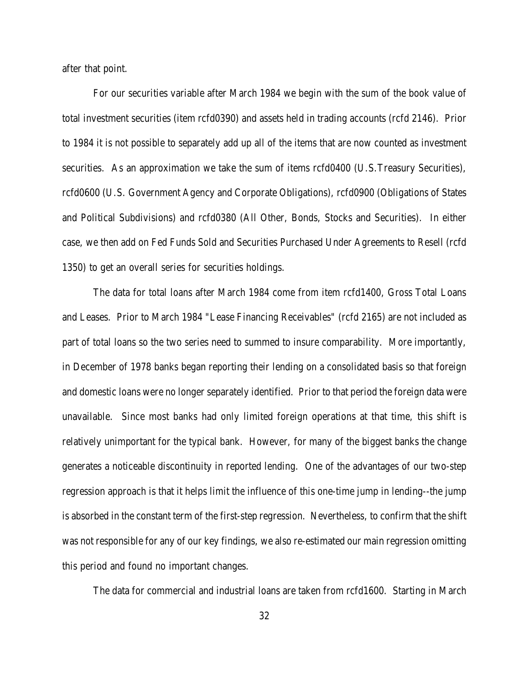after that point.

For our securities variable after March 1984 we begin with the sum of the book value of total investment securities (item rcfd0390) and assets held in trading accounts (rcfd 2146). Prior to 1984 it is not possible to separately add up all of the items that are now counted as investment securities. As an approximation we take the sum of items rcfd0400 (U.S.Treasury Securities), rcfd0600 (U.S. Government Agency and Corporate Obligations), rcfd0900 (Obligations of States and Political Subdivisions) and rcfd0380 (All Other, Bonds, Stocks and Securities). In either case, we then add on Fed Funds Sold and Securities Purchased Under Agreements to Resell (rcfd 1350) to get an overall series for securities holdings.

 The data for total loans after March 1984 come from item rcfd1400, Gross Total Loans and Leases. Prior to March 1984 "Lease Financing Receivables" (rcfd 2165) are not included as part of total loans so the two series need to summed to insure comparability. More importantly, in December of 1978 banks began reporting their lending on a consolidated basis so that foreign and domestic loans were no longer separately identified. Prior to that period the foreign data were unavailable. Since most banks had only limited foreign operations at that time, this shift is relatively unimportant for the typical bank. However, for many of the biggest banks the change generates a noticeable discontinuity in reported lending. One of the advantages of our two-step regression approach is that it helps limit the influence of this one-time jump in lending--the jump is absorbed in the constant term of the first-step regression. Nevertheless, to confirm that the shift was not responsible for any of our key findings, we also re-estimated our main regression omitting this period and found no important changes.

The data for commercial and industrial loans are taken from rcfd1600. Starting in March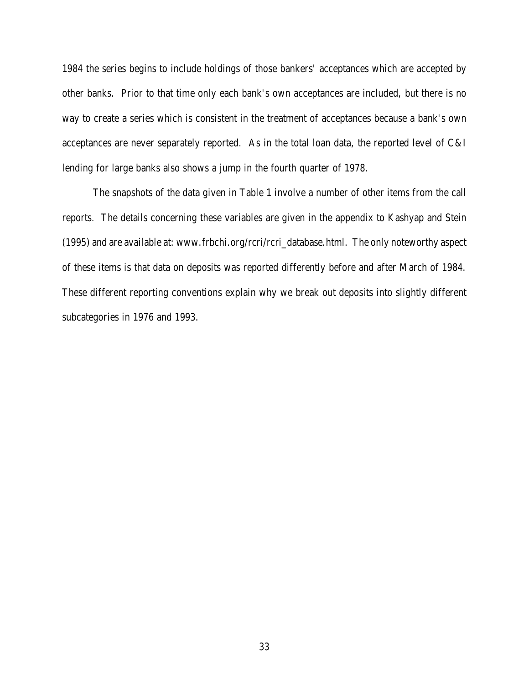1984 the series begins to include holdings of those bankers' acceptances which are accepted by other banks. Prior to that time only each bank's own acceptances are included, but there is no way to create a series which is consistent in the treatment of acceptances because a bank's own acceptances are never separately reported. As in the total loan data, the reported level of C&I lending for large banks also shows a jump in the fourth quarter of 1978.

The snapshots of the data given in Table 1 involve a number of other items from the call reports. The details concerning these variables are given in the appendix to Kashyap and Stein (1995) and are available at: www.frbchi.org/rcri/rcri\_database.html. The only noteworthy aspect of these items is that data on deposits was reported differently before and after March of 1984. These different reporting conventions explain why we break out deposits into slightly different subcategories in 1976 and 1993.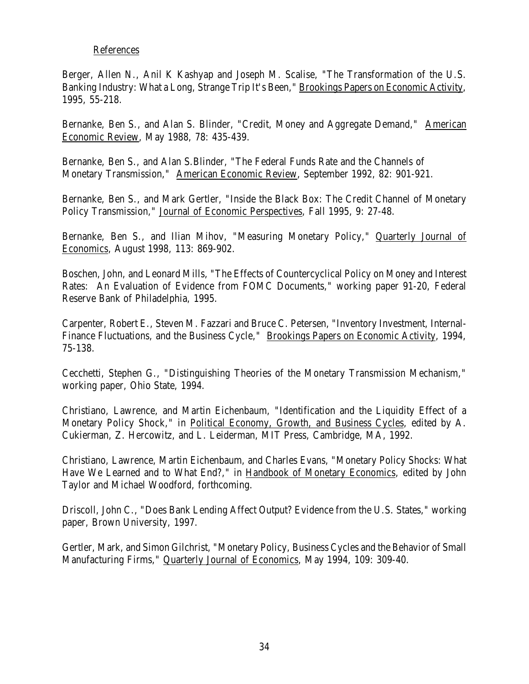# References

Berger, Allen N., Anil K Kashyap and Joseph M. Scalise, "The Transformation of the U.S. Banking Industry: What a Long, Strange Trip It's Been," Brookings Papers on Economic Activity, 1995, 55-218.

Bernanke, Ben S., and Alan S. Blinder, "Credit, Money and Aggregate Demand," American Economic Review, May 1988, 78: 435-439.

Bernanke, Ben S., and Alan S.Blinder, "The Federal Funds Rate and the Channels of Monetary Transmission," American Economic Review, September 1992, 82: 901-921.

Bernanke, Ben S., and Mark Gertler, "Inside the Black Box: The Credit Channel of Monetary Policy Transmission," Journal of Economic Perspectives, Fall 1995, 9: 27-48.

Bernanke, Ben S., and Ilian Mihov, "Measuring Monetary Policy," Quarterly Journal of Economics, August 1998, 113: 869-902.

Boschen, John, and Leonard Mills, "The Effects of Countercyclical Policy on Money and Interest Rates: An Evaluation of Evidence from FOMC Documents," working paper 91-20, Federal Reserve Bank of Philadelphia, 1995.

Carpenter, Robert E., Steven M. Fazzari and Bruce C. Petersen, "Inventory Investment, Internal-Finance Fluctuations, and the Business Cycle," Brookings Papers on Economic Activity, 1994, 75-138.

Cecchetti, Stephen G., "Distinguishing Theories of the Monetary Transmission Mechanism," working paper, Ohio State, 1994.

Christiano, Lawrence, and Martin Eichenbaum, "Identification and the Liquidity Effect of a Monetary Policy Shock," in Political Economy, Growth, and Business Cycles, edited by A. Cukierman, Z. Hercowitz, and L. Leiderman, MIT Press, Cambridge, MA, 1992.

Christiano, Lawrence, Martin Eichenbaum, and Charles Evans, "Monetary Policy Shocks: What Have We Learned and to What End?," in Handbook of Monetary Economics, edited by John Taylor and Michael Woodford, forthcoming.

Driscoll, John C., "Does Bank Lending Affect Output? Evidence from the U.S. States," working paper, Brown University, 1997.

Gertler, Mark, and Simon Gilchrist, "Monetary Policy, Business Cycles and the Behavior of Small Manufacturing Firms," Quarterly Journal of Economics, May 1994, 109: 309-40.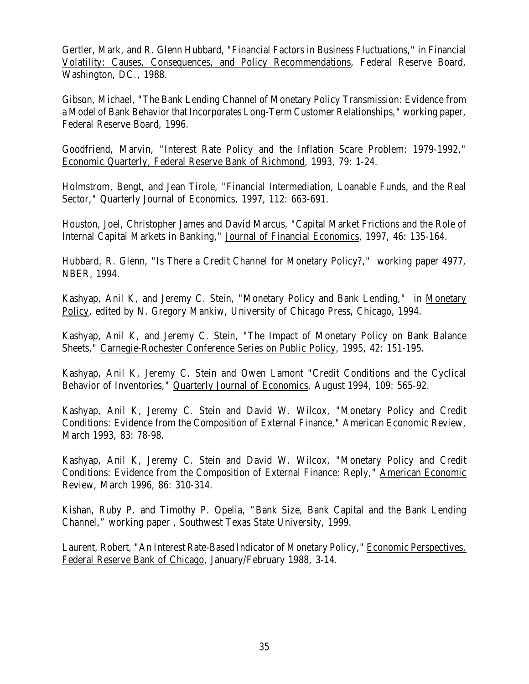Gertler, Mark, and R. Glenn Hubbard, "Financial Factors in Business Fluctuations," in Financial Volatility: Causes, Consequences, and Policy Recommendations, Federal Reserve Board, Washington, DC., 1988.

Gibson, Michael, "The Bank Lending Channel of Monetary Policy Transmission: Evidence from a Model of Bank Behavior that Incorporates Long-Term Customer Relationships," working paper, Federal Reserve Board, 1996.

Goodfriend, Marvin, "Interest Rate Policy and the Inflation Scare Problem: 1979-1992," Economic Quarterly, Federal Reserve Bank of Richmond, 1993, 79: 1-24.

Holmstrom, Bengt, and Jean Tirole, "Financial Intermediation, Loanable Funds, and the Real Sector," Quarterly Journal of Economics, 1997, 112: 663-691.

Houston, Joel, Christopher James and David Marcus, "Capital Market Frictions and the Role of Internal Capital Markets in Banking," Journal of Financial Economics, 1997, 46: 135-164.

Hubbard, R. Glenn, "Is There a Credit Channel for Monetary Policy?," working paper 4977, NBER, 1994.

Kashyap, Anil K, and Jeremy C. Stein, "Monetary Policy and Bank Lending," in Monetary Policy, edited by N. Gregory Mankiw, University of Chicago Press, Chicago, 1994.

Kashyap, Anil K, and Jeremy C. Stein, "The Impact of Monetary Policy on Bank Balance Sheets," Carnegie-Rochester Conference Series on Public Policy, 1995, 42: 151-195.

Kashyap, Anil K, Jeremy C. Stein and Owen Lamont "Credit Conditions and the Cyclical Behavior of Inventories," Quarterly Journal of Economics, August 1994, 109: 565-92.

Kashyap, Anil K, Jeremy C. Stein and David W. Wilcox, "Monetary Policy and Credit Conditions: Evidence from the Composition of External Finance," American Economic Review, March 1993, 83: 78-98.

Kashyap, Anil K, Jeremy C. Stein and David W. Wilcox, "Monetary Policy and Credit Conditions: Evidence from the Composition of External Finance: Reply," American Economic Review, March 1996, 86: 310-314.

Kishan, Ruby P. and Timothy P. Opelia, "Bank Size, Bank Capital and the Bank Lending Channel," working paper , Southwest Texas State University, 1999.

Laurent, Robert, "An Interest Rate-Based Indicator of Monetary Policy," Economic Perspectives, Federal Reserve Bank of Chicago, January/February 1988, 3-14.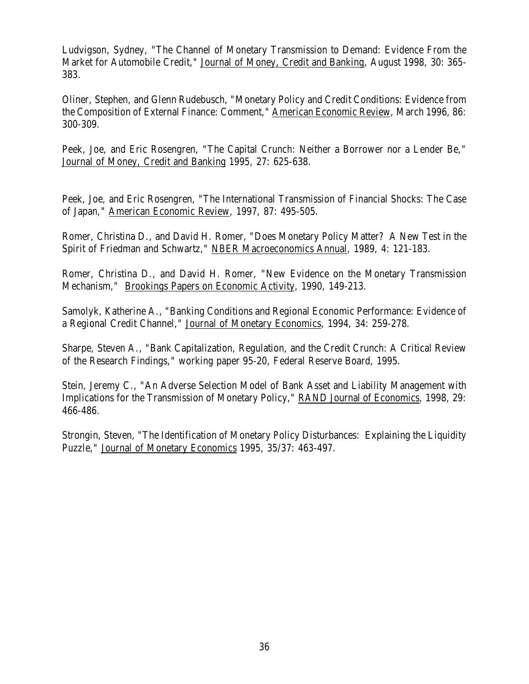Ludvigson, Sydney, "The Channel of Monetary Transmission to Demand: Evidence From the Market for Automobile Credit," Journal of Money, Credit and Banking, August 1998, 30: 365- 383.

Oliner, Stephen, and Glenn Rudebusch, "Monetary Policy and Credit Conditions: Evidence from the Composition of External Finance: Comment," American Economic Review, March 1996, 86: 300-309.

Peek, Joe, and Eric Rosengren, "The Capital Crunch: Neither a Borrower nor a Lender Be," Journal of Money, Credit and Banking 1995, 27: 625-638.

Peek, Joe, and Eric Rosengren, "The International Transmission of Financial Shocks: The Case of Japan," American Economic Review, 1997, 87: 495-505.

Romer, Christina D., and David H. Romer, "Does Monetary Policy Matter? A New Test in the Spirit of Friedman and Schwartz," NBER Macroeconomics Annual, 1989, 4: 121-183.

Romer, Christina D., and David H. Romer, "New Evidence on the Monetary Transmission Mechanism," Brookings Papers on Economic Activity, 1990, 149-213.

Samolyk, Katherine A., "Banking Conditions and Regional Economic Performance: Evidence of a Regional Credit Channel," Journal of Monetary Economics, 1994, 34: 259-278.

Sharpe, Steven A., "Bank Capitalization, Regulation, and the Credit Crunch: A Critical Review of the Research Findings," working paper 95-20, Federal Reserve Board, 1995.

Stein, Jeremy C., "An Adverse Selection Model of Bank Asset and Liability Management with Implications for the Transmission of Monetary Policy," RAND Journal of Economics, 1998, 29: 466-486.

Strongin, Steven, "The Identification of Monetary Policy Disturbances: Explaining the Liquidity Puzzle," Journal of Monetary Economics 1995, 35/37: 463-497.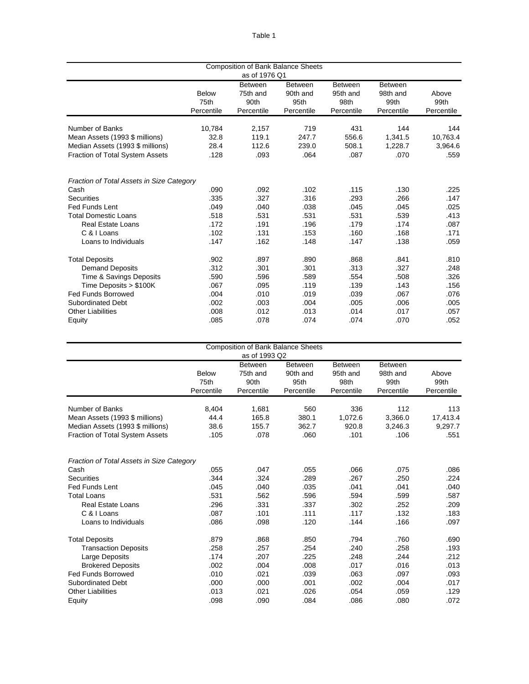|                                           |              | as of 1976 Q1              | <b>Composition of Bank Balance Sheets</b> |                            |                            |            |
|-------------------------------------------|--------------|----------------------------|-------------------------------------------|----------------------------|----------------------------|------------|
|                                           | <b>Below</b> | <b>Between</b><br>75th and | <b>Between</b><br>90th and                | <b>Between</b><br>95th and | <b>Between</b><br>98th and | Above      |
|                                           | 75th         | 90th                       | 95th                                      | 98th                       | 99th                       | 99th       |
|                                           | Percentile   | Percentile                 | Percentile                                | Percentile                 | Percentile                 | Percentile |
| Number of Banks                           | 10,784       | 2,157                      | 719                                       | 431                        | 144                        | 144        |
| Mean Assets (1993 \$ millions)            | 32.8         | 119.1                      | 247.7                                     | 556.6                      | 1,341.5                    | 10,763.4   |
| Median Assets (1993 \$ millions)          | 28.4         | 112.6                      | 239.0                                     | 508.1                      | 1,228.7                    | 3,964.6    |
| Fraction of Total System Assets           | .128         | .093                       | .064                                      | .087                       | .070                       | .559       |
| Fraction of Total Assets in Size Category |              |                            |                                           |                            |                            |            |
| Cash                                      | .090         | .092                       | .102                                      | .115                       | .130                       | .225       |
| <b>Securities</b>                         | .335         | .327                       | .316                                      | .293                       | .266                       | .147       |
| Fed Funds Lent                            | .049         | .040                       | .038                                      | .045                       | .045                       | .025       |
| <b>Total Domestic Loans</b>               | .518         | .531                       | .531                                      | .531                       | .539                       | .413       |
| <b>Real Estate Loans</b>                  | .172         | .191                       | .196                                      | .179                       | .174                       | .087       |
| C & I Loans                               | .102         | .131                       | .153                                      | .160                       | .168                       | .171       |
| Loans to Individuals                      | .147         | .162                       | .148                                      | .147                       | .138                       | .059       |
| <b>Total Deposits</b>                     | .902         | .897                       | .890                                      | .868                       | .841                       | .810       |
| <b>Demand Deposits</b>                    | .312         | .301                       | .301                                      | .313                       | .327                       | .248       |
| Time & Savings Deposits                   | .590         | .596                       | .589                                      | .554                       | .508                       | .326       |
| Time Deposits > \$100K                    | .067         | .095                       | .119                                      | .139                       | .143                       | .156       |
| <b>Fed Funds Borrowed</b>                 | .004         | .010                       | .019                                      | .039                       | .067                       | .076       |
| <b>Subordinated Debt</b>                  | .002         | .003                       | .004                                      | .005                       | .006                       | .005       |
| <b>Other Liabilities</b>                  | .008         | .012                       | .013                                      | .014                       | .017                       | .057       |
| Equity                                    | .085         | .078                       | .074                                      | .074                       | .070                       | .052       |

|                                           |              |                | <b>Composition of Bank Balance Sheets</b> |                |                |            |
|-------------------------------------------|--------------|----------------|-------------------------------------------|----------------|----------------|------------|
|                                           |              | as of 1993 Q2  |                                           |                |                |            |
|                                           |              | <b>Between</b> | <b>Between</b>                            | <b>Between</b> | <b>Between</b> |            |
|                                           | <b>Below</b> | 75th and       | 90th and                                  | 95th and       | 98th and       | Above      |
|                                           | 75th         | 90th           | 95th                                      | 98th           | 99th           | 99th       |
|                                           | Percentile   | Percentile     | Percentile                                | Percentile     | Percentile     | Percentile |
| Number of Banks                           | 8,404        | 1,681          | 560                                       | 336            | 112            | 113        |
| Mean Assets (1993 \$ millions)            | 44.4         | 165.8          | 380.1                                     | 1,072.6        | 3,366.0        | 17,413.4   |
| Median Assets (1993 \$ millions)          | 38.6         | 155.7          | 362.7                                     | 920.8          | 3,246.3        | 9,297.7    |
| Fraction of Total System Assets           | .105         | .078           | .060                                      | .101           | .106           | .551       |
|                                           |              |                |                                           |                |                |            |
| Fraction of Total Assets in Size Category |              |                |                                           |                |                |            |
| Cash                                      | .055         | .047           | .055                                      | .066           | .075           | .086       |
| <b>Securities</b>                         | .344         | .324           | .289                                      | .267           | .250           | .224       |
| <b>Fed Funds Lent</b>                     | .045         | .040           | .035                                      | .041           | .041           | .040       |
| <b>Total Loans</b>                        | .531         | .562           | .596                                      | .594           | .599           | .587       |
| <b>Real Estate Loans</b>                  | .296         | .331           | .337                                      | .302           | .252           | .209       |
| C & I Loans                               | .087         | .101           | .111                                      | .117           | .132           | .183       |
| Loans to Individuals                      | .086         | .098           | .120                                      | .144           | .166           | .097       |
| <b>Total Deposits</b>                     | .879         | .868           | .850                                      | .794           | .760           | .690       |
| <b>Transaction Deposits</b>               | .258         | .257           | .254                                      | .240           | .258           | .193       |
| Large Deposits                            | .174         | .207           | .225                                      | .248           | .244           | .212       |
| <b>Brokered Deposits</b>                  | .002         | .004           | .008                                      | .017           | .016           | .013       |
| <b>Fed Funds Borrowed</b>                 | .010         | .021           | .039                                      | .063           | .097           | .093       |
| <b>Subordinated Debt</b>                  | .000         | .000           | .001                                      | .002           | .004           | .017       |
| <b>Other Liabilities</b>                  | .013         | .021           | .026                                      | .054           | .059           | .129       |
| Equity                                    | .098         | .090           | .084                                      | .086           | .080           | .072       |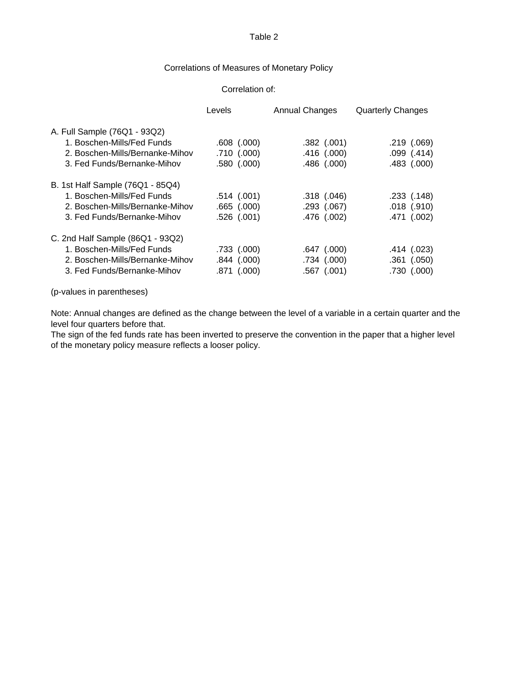# Correlations of Measures of Monetary Policy

#### Correlation of:

|                                  | Levels          | <b>Annual Changes</b> | <b>Quarterly Changes</b> |
|----------------------------------|-----------------|-----------------------|--------------------------|
| A. Full Sample (76Q1 - 93Q2)     |                 |                       |                          |
| 1. Boschen-Mills/Fed Funds       | $.608$ $(.000)$ | .382(.001)            | .219(.069)               |
| 2. Boschen-Mills/Bernanke-Mihov  | .710(.000)      | .416 (.000)           | .099(.414)               |
| 3. Fed Funds/Bernanke-Mihov      | $.580$ $(.000)$ | .486(.000)            | $.483$ $(.000)$          |
| B. 1st Half Sample (76Q1 - 85Q4) |                 |                       |                          |
| 1. Boschen-Mills/Fed Funds       | .514(.001)      | $.318$ $(.046)$       | $.233$ $(.148)$          |
| 2. Boschen-Mills/Bernanke-Mihov  | $.665$ $(.000)$ | $.293$ $(.067)$       | $.018$ $(.910)$          |
| 3. Fed Funds/Bernanke-Mihov      | $.526$ $(.001)$ | $.476$ $(.002)$       | .471 (.002)              |
| C. 2nd Half Sample (86Q1 - 93Q2) |                 |                       |                          |
| 1. Boschen-Mills/Fed Funds       | $.733$ $(.000)$ | $.647$ $(.000)$       | .414(.023)               |
| 2. Boschen-Mills/Bernanke-Mihov  | $.844$ $(.000)$ | .734(.000)            | $.361$ $(.050)$          |
| 3. Fed Funds/Bernanke-Mihov      | .871(.000)      | $.567$ $(.001)$       | .730 (.000)              |

(p-values in parentheses)

Note: Annual changes are defined as the change between the level of a variable in a certain quarter and the level four quarters before that.

The sign of the fed funds rate has been inverted to preserve the convention in the paper that a higher level of the monetary policy measure reflects a looser policy.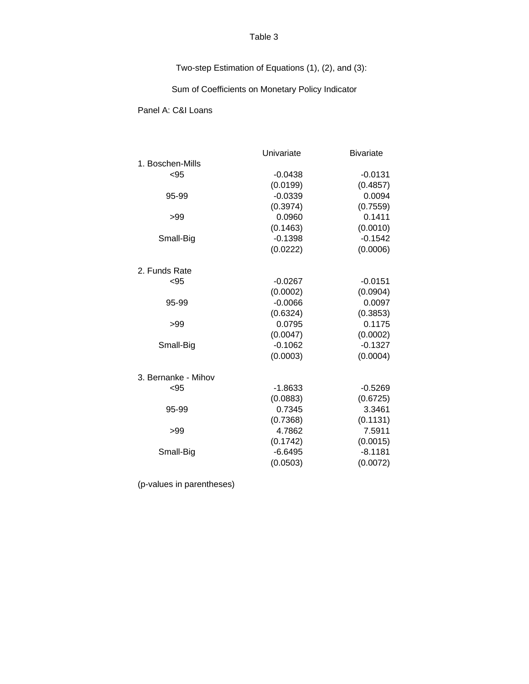Two-step Estimation of Equations (1), (2), and (3):

Sum of Coefficients on Monetary Policy Indicator

Panel A: C&I Loans

|                     | Univariate | <b>Bivariate</b> |
|---------------------|------------|------------------|
| 1. Boschen-Mills    |            |                  |
| < 95                | $-0.0438$  | $-0.0131$        |
|                     | (0.0199)   | (0.4857)         |
| 95-99               | $-0.0339$  | 0.0094           |
|                     | (0.3974)   | (0.7559)         |
| >99                 | 0.0960     | 0.1411           |
|                     | (0.1463)   | (0.0010)         |
| Small-Big           | $-0.1398$  | $-0.1542$        |
|                     | (0.0222)   | (0.0006)         |
| 2. Funds Rate       |            |                  |
| < 95                | $-0.0267$  | $-0.0151$        |
|                     | (0.0002)   | (0.0904)         |
| 95-99               | $-0.0066$  | 0.0097           |
|                     | (0.6324)   | (0.3853)         |
| >99                 | 0.0795     | 0.1175           |
|                     | (0.0047)   | (0.0002)         |
| Small-Big           | $-0.1062$  | $-0.1327$        |
|                     | (0.0003)   | (0.0004)         |
| 3. Bernanke - Mihov |            |                  |
| $95$                | $-1.8633$  | $-0.5269$        |
|                     | (0.0883)   | (0.6725)         |
| 95-99               | 0.7345     | 3.3461           |
|                     | (0.7368)   | (0.1131)         |
| >99                 | 4.7862     | 7.5911           |
|                     | (0.1742)   | (0.0015)         |
| Small-Big           | $-6.6495$  | $-8.1181$        |
|                     | (0.0503)   | (0.0072)         |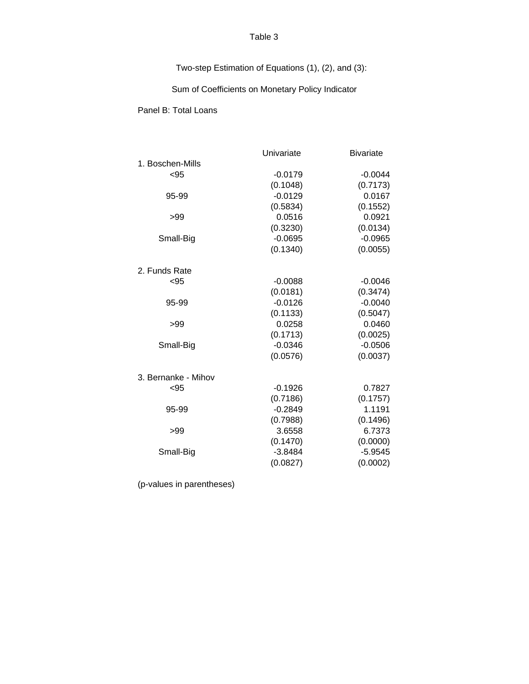Two-step Estimation of Equations (1), (2), and (3):

Sum of Coefficients on Monetary Policy Indicator

Panel B: Total Loans

|                     | Univariate | <b>Bivariate</b> |
|---------------------|------------|------------------|
| 1. Boschen-Mills    |            |                  |
| < 95                | $-0.0179$  | $-0.0044$        |
|                     | (0.1048)   | (0.7173)         |
| 95-99               | $-0.0129$  | 0.0167           |
|                     | (0.5834)   | (0.1552)         |
| >99                 | 0.0516     | 0.0921           |
|                     | (0.3230)   | (0.0134)         |
| Small-Big           | $-0.0695$  | $-0.0965$        |
|                     | (0.1340)   | (0.0055)         |
| 2. Funds Rate       |            |                  |
| $95$                | $-0.0088$  | $-0.0046$        |
|                     | (0.0181)   | (0.3474)         |
| 95-99               | $-0.0126$  | $-0.0040$        |
|                     | (0.1133)   | (0.5047)         |
| >99                 | 0.0258     | 0.0460           |
|                     | (0.1713)   | (0.0025)         |
| Small-Big           | $-0.0346$  | $-0.0506$        |
|                     | (0.0576)   | (0.0037)         |
| 3. Bernanke - Mihov |            |                  |
| < 95                | $-0.1926$  | 0.7827           |
|                     | (0.7186)   | (0.1757)         |
| 95-99               | $-0.2849$  | 1.1191           |
|                     | (0.7988)   | (0.1496)         |
| >99                 | 3.6558     | 6.7373           |
|                     | (0.1470)   | (0.0000)         |
| Small-Big           | $-3.8484$  | $-5.9545$        |
|                     | (0.0827)   | (0.0002)         |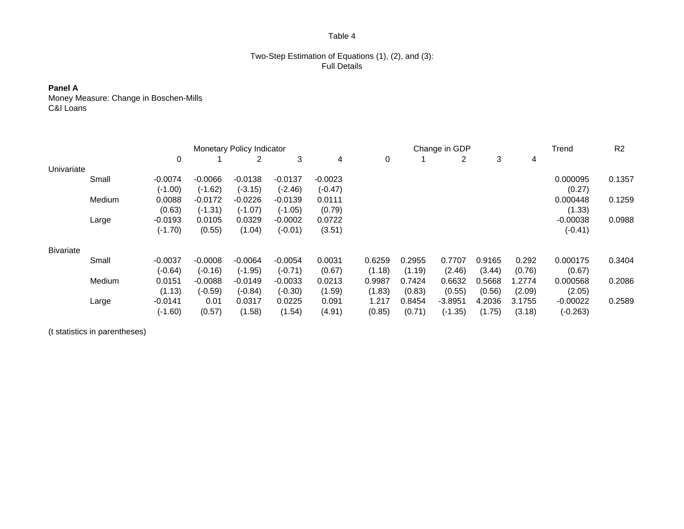# Two-Step Estimation of Equations (1), (2), and (3): Full Details

### **Panel A**

Money Measure: Change in Boschen-Mills C&I Loans

|                  |        | Monetary Policy Indicator |           |           |           |           |        | Change in GDP |           |        |        |            | R <sub>2</sub> |
|------------------|--------|---------------------------|-----------|-----------|-----------|-----------|--------|---------------|-----------|--------|--------|------------|----------------|
|                  |        | 0                         |           |           | 3         | 4         | 0      |               | 2         | 3      | 4      |            |                |
| Univariate       |        |                           |           |           |           |           |        |               |           |        |        |            |                |
|                  | Small  | $-0.0074$                 | $-0.0066$ | $-0.0138$ | $-0.0137$ | $-0.0023$ |        |               |           |        |        | 0.000095   | 0.1357         |
|                  |        | $(-1.00)$                 | $(-1.62)$ | $(-3.15)$ | $(-2.46)$ | $(-0.47)$ |        |               |           |        |        | (0.27)     |                |
|                  | Medium | 0.0088                    | $-0.0172$ | $-0.0226$ | $-0.0139$ | 0.0111    |        |               |           |        |        | 0.000448   | 0.1259         |
|                  |        | (0.63)                    | $(-1.31)$ | $(-1.07)$ | $(-1.05)$ | (0.79)    |        |               |           |        |        | (1.33)     |                |
|                  | Large  | $-0.0193$                 | 0.0105    | 0.0329    | $-0.0002$ | 0.0722    |        |               |           |        |        | $-0.00038$ | 0.0988         |
|                  |        | $(-1.70)$                 | (0.55)    | (1.04)    | $(-0.01)$ | (3.51)    |        |               |           |        |        | $(-0.41)$  |                |
| <b>Bivariate</b> |        |                           |           |           |           |           |        |               |           |        |        |            |                |
|                  | Small  | $-0.0037$                 | $-0.0008$ | $-0.0064$ | $-0.0054$ | 0.0031    | 0.6259 | 0.2955        | 0.7707    | 0.9165 | 0.292  | 0.000175   | 0.3404         |
|                  |        | $(-0.64)$                 | $(-0.16)$ | $(-1.95)$ | $(-0.71)$ | (0.67)    | (1.18) | (1.19)        | (2.46)    | (3.44) | (0.76) | (0.67)     |                |
|                  | Medium | 0.0151                    | $-0.0088$ | $-0.0149$ | $-0.0033$ | 0.0213    | 0.9987 | 0.7424        | 0.6632    | 0.5668 | 1.2774 | 0.000568   | 0.2086         |
|                  |        | (1.13)                    | $(-0.59)$ | $(-0.84)$ | $(-0.30)$ | (1.59)    | (1.83) | (0.83)        | (0.55)    | (0.56) | (2.09) | (2.05)     |                |
|                  | Large  | $-0.0141$                 | 0.01      | 0.0317    | 0.0225    | 0.091     | 1.217  | 0.8454        | $-3.8951$ | 4.2036 | 3.1755 | $-0.00022$ | 0.2589         |
|                  |        | $(-1.60)$                 | (0.57)    | (1.58)    | (1.54)    | (4.91)    | (0.85) | (0.71)        | $(-1.35)$ | (1.75) | (3.18) | $(-0.263)$ |                |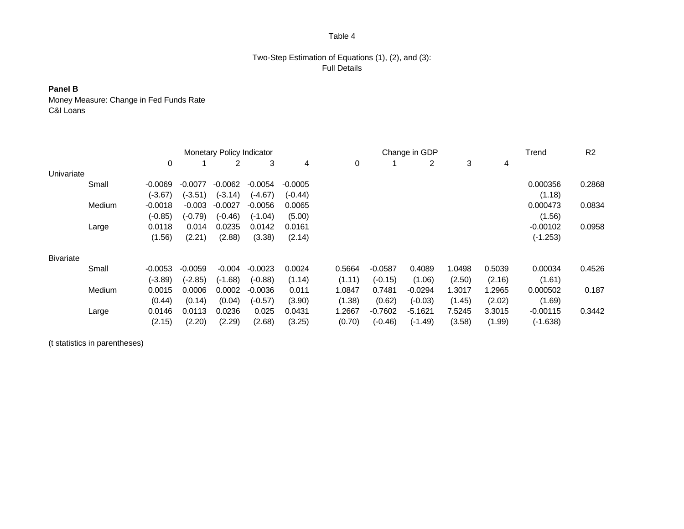### Two-Step Estimation of Equations (1), (2), and (3): Full Details

# **Panel B**

Money Measure: Change in Fed Funds Rate C&I Loans

|                  |        | <b>Monetary Policy Indicator</b> |           |           |           |           |        | Change in GDP |           |        |        | Trend      | R <sub>2</sub> |
|------------------|--------|----------------------------------|-----------|-----------|-----------|-----------|--------|---------------|-----------|--------|--------|------------|----------------|
|                  |        | 0                                |           | 2         | 3         | 4         | 0      |               | 2         | 3      | 4      |            |                |
| Univariate       |        |                                  |           |           |           |           |        |               |           |        |        |            |                |
|                  | Small  | $-0.0069$                        | $-0.0077$ | $-0.0062$ | $-0.0054$ | $-0.0005$ |        |               |           |        |        | 0.000356   | 0.2868         |
|                  |        | $(-3.67)$                        | $(-3.51)$ | $(-3.14)$ | $(-4.67)$ | $(-0.44)$ |        |               |           |        |        | (1.18)     |                |
|                  | Medium | $-0.0018$                        | $-0.003$  | $-0.0027$ | $-0.0056$ | 0.0065    |        |               |           |        |        | 0.000473   | 0.0834         |
|                  |        | $(-0.85)$                        | $(-0.79)$ | $(-0.46)$ | $(-1.04)$ | (5.00)    |        |               |           |        |        | (1.56)     |                |
|                  | Large  | 0.0118                           | 0.014     | 0.0235    | 0.0142    | 0.0161    |        |               |           |        |        | $-0.00102$ | 0.0958         |
|                  |        | (1.56)                           | (2.21)    | (2.88)    | (3.38)    | (2.14)    |        |               |           |        |        | $(-1.253)$ |                |
| <b>Bivariate</b> |        |                                  |           |           |           |           |        |               |           |        |        |            |                |
|                  | Small  | $-0.0053$                        | $-0.0059$ | $-0.004$  | $-0.0023$ | 0.0024    | 0.5664 | $-0.0587$     | 0.4089    | 1.0498 | 0.5039 | 0.00034    | 0.4526         |
|                  |        | $(-3.89)$                        | $(-2.85)$ | $(-1.68)$ | $(-0.88)$ | (1.14)    | (1.11) | $(-0.15)$     | (1.06)    | (2.50) | (2.16) | (1.61)     |                |
|                  | Medium | 0.0015                           | 0.0006    | 0.0002    | $-0.0036$ | 0.011     | 1.0847 | 0.7481        | $-0.0294$ | 1.3017 | 1.2965 | 0.000502   | 0.187          |
|                  |        | (0.44)                           | (0.14)    | (0.04)    | $(-0.57)$ | (3.90)    | (1.38) | (0.62)        | $(-0.03)$ | (1.45) | (2.02) | (1.69)     |                |
|                  | Large  | 0.0146                           | 0.0113    | 0.0236    | 0.025     | 0.0431    | 1.2667 | $-0.7602$     | $-5.1621$ | 7.5245 | 3.3015 | $-0.00115$ | 0.3442         |
|                  |        | (2.15)                           | (2.20)    | (2.29)    | (2.68)    | (3.25)    | (0.70) | $(-0.46)$     | $(-1.49)$ | (3.58) | (1.99) | $(-1.638)$ |                |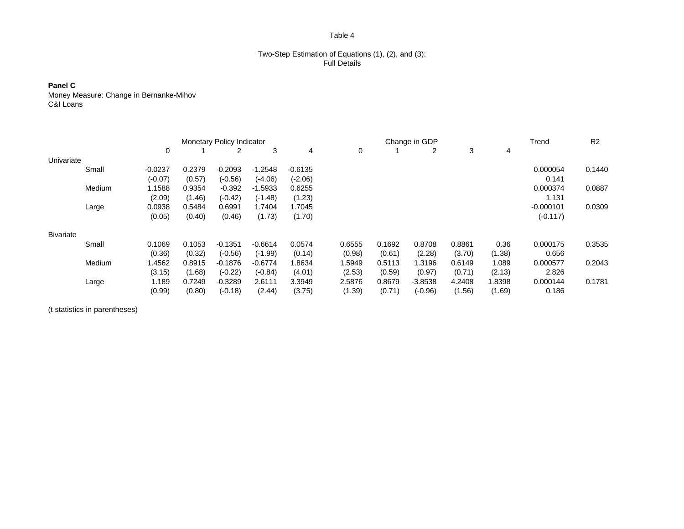#### Two-Step Estimation of Equations (1), (2), and (3): Full Details

**Panel C** Money Measure: Change in Bernanke-Mihov C&I Loans

|                  |        | <b>Monetary Policy Indicator</b> |        |           |           |           |        | Change in GDP |           |        |        | Trend       | R <sub>2</sub> |
|------------------|--------|----------------------------------|--------|-----------|-----------|-----------|--------|---------------|-----------|--------|--------|-------------|----------------|
|                  |        | 0                                |        | 2         | 3         | 4         | 0      |               | 2         | 3      | 4      |             |                |
| Univariate       |        |                                  |        |           |           |           |        |               |           |        |        |             |                |
|                  | Small  | $-0.0237$                        | 0.2379 | $-0.2093$ | $-1.2548$ | $-0.6135$ |        |               |           |        |        | 0.000054    | 0.1440         |
|                  |        | $(-0.07)$                        | (0.57) | $(-0.56)$ | $(-4.06)$ | (-2.06)   |        |               |           |        |        | 0.141       |                |
|                  | Medium | 1.1588                           | 0.9354 | $-0.392$  | $-1.5933$ | 0.6255    |        |               |           |        |        | 0.000374    | 0.0887         |
|                  |        | (2.09)                           | (1.46) | $(-0.42)$ | $(-1.48)$ | (1.23)    |        |               |           |        |        | 1.131       |                |
|                  | Large  | 0.0938                           | 0.5484 | 0.6991    | 1.7404    | 1.7045    |        |               |           |        |        | $-0.000101$ | 0.0309         |
|                  |        | (0.05)                           | (0.40) | (0.46)    | (1.73)    | (1.70)    |        |               |           |        |        | $(-0.117)$  |                |
| <b>Bivariate</b> |        |                                  |        |           |           |           |        |               |           |        |        |             |                |
|                  | Small  | 0.1069                           | 0.1053 | $-0.1351$ | $-0.6614$ | 0.0574    | 0.6555 | 0.1692        | 0.8708    | 0.8861 | 0.36   | 0.000175    | 0.3535         |
|                  |        | (0.36)                           | (0.32) | $(-0.56)$ | $(-1.99)$ | (0.14)    | (0.98) | (0.61)        | (2.28)    | (3.70) | (1.38) | 0.656       |                |
|                  | Medium | 1.4562                           | 0.8915 | $-0.1876$ | $-0.6774$ | 1.8634    | 1.5949 | 0.5113        | 1.3196    | 0.6149 | 1.089  | 0.000577    | 0.2043         |
|                  |        | (3.15)                           | (1.68) | $(-0.22)$ | $(-0.84)$ | (4.01)    | (2.53) | (0.59)        | (0.97)    | (0.71) | (2.13) | 2.826       |                |
|                  | Large  | 1.189                            | 0.7249 | $-0.3289$ | 2.6111    | 3.3949    | 2.5876 | 0.8679        | $-3.8538$ | 4.2408 | 1.8398 | 0.000144    | 0.1781         |
|                  |        | (0.99)                           | (0.80) | $(-0.18)$ | (2.44)    | (3.75)    | (1.39) | (0.71)        | $(-0.96)$ | (1.56) | (1.69) | 0.186       |                |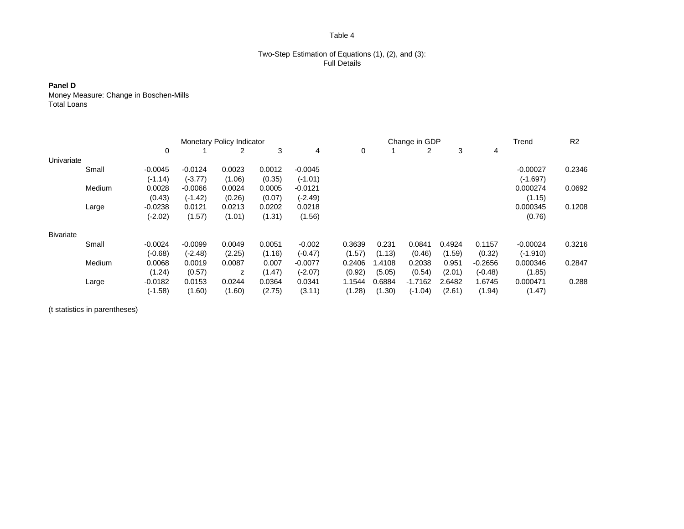#### Two-Step Estimation of Equations (1), (2), and (3): Full Details

# **Panel D**

Money Measure: Change in Boschen-Mills Total Loans

|                  |        | <b>Monetary Policy Indicator</b> |           |        |        |           |        | Change in GDP |           |        |           | Trend      | R <sub>2</sub> |
|------------------|--------|----------------------------------|-----------|--------|--------|-----------|--------|---------------|-----------|--------|-----------|------------|----------------|
|                  |        | 0                                |           |        | 3      | 4         | 0      |               | 2         | 3      | 4         |            |                |
| Univariate       |        |                                  |           |        |        |           |        |               |           |        |           |            |                |
|                  | Small  | $-0.0045$                        | $-0.0124$ | 0.0023 | 0.0012 | $-0.0045$ |        |               |           |        |           | $-0.00027$ | 0.2346         |
|                  |        | $(-1.14)$                        | $(-3.77)$ | (1.06) | (0.35) | $(-1.01)$ |        |               |           |        |           | $(-1.697)$ |                |
|                  | Medium | 0.0028                           | $-0.0066$ | 0.0024 | 0.0005 | $-0.0121$ |        |               |           |        |           | 0.000274   | 0.0692         |
|                  |        | (0.43)                           | $(-1.42)$ | (0.26) | (0.07) | (-2.49)   |        |               |           |        |           | (1.15)     |                |
|                  | Large  | $-0.0238$                        | 0.0121    | 0.0213 | 0.0202 | 0.0218    |        |               |           |        |           | 0.000345   | 0.1208         |
|                  |        | $(-2.02)$                        | (1.57)    | (1.01) | (1.31) | (1.56)    |        |               |           |        |           | (0.76)     |                |
| <b>Bivariate</b> |        |                                  |           |        |        |           |        |               |           |        |           |            |                |
|                  | Small  | $-0.0024$                        | $-0.0099$ | 0.0049 | 0.0051 | $-0.002$  | 0.3639 | 0.231         | 0.0841    | 0.4924 | 0.1157    | $-0.00024$ | 0.3216         |
|                  |        | $(-0.68)$                        | $(-2.48)$ | (2.25) | (1.16) | $(-0.47)$ | (1.57) | (1.13)        | (0.46)    | (1.59) | (0.32)    | $(-1.910)$ |                |
|                  | Medium | 0.0068                           | 0.0019    | 0.0087 | 0.007  | $-0.0077$ | 0.2406 | <b>1.4108</b> | 0.2038    | 0.951  | $-0.2656$ | 0.000346   | 0.2847         |
|                  |        | (1.24)                           | (0.57)    | z      | (1.47) | (-2.07)   | (0.92) | (5.05)        | (0.54)    | (2.01) | $(-0.48)$ | (1.85)     |                |
|                  | Large  | $-0.0182$                        | 0.0153    | 0.0244 | 0.0364 | 0.0341    | 1.1544 | 0.6884        | $-1.7162$ | 2.6482 | 1.6745    | 0.000471   | 0.288          |
|                  |        | $(-1.58)$                        | (1.60)    | (1.60) | (2.75) | (3.11)    | (1.28) | (1.30)        | $(-1.04)$ | (2.61) | (1.94)    | (1.47)     |                |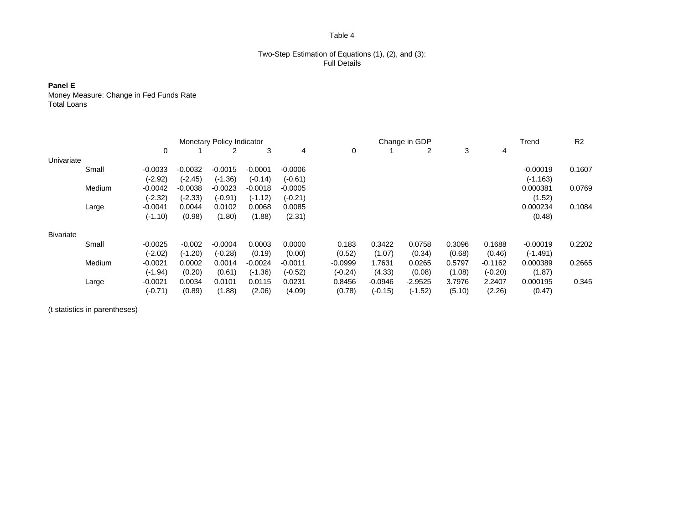#### Two-Step Estimation of Equations (1), (2), and (3): Full Details

**Panel E**

Money Measure: Change in Fed Funds Rate Total Loans

|                  |        |           | <b>Monetary Policy Indicator</b> |           |           |           |           | Change in GDP |           |        |           | Trend      | R <sub>2</sub> |
|------------------|--------|-----------|----------------------------------|-----------|-----------|-----------|-----------|---------------|-----------|--------|-----------|------------|----------------|
|                  |        | 0         |                                  |           | 3         | 4         | 0         |               | 2         | 3      | 4         |            |                |
| Univariate       |        |           |                                  |           |           |           |           |               |           |        |           |            |                |
|                  | Small  | $-0.0033$ | $-0.0032$                        | $-0.0015$ | $-0.0001$ | $-0.0006$ |           |               |           |        |           | $-0.00019$ | 0.1607         |
|                  |        | $(-2.92)$ | $(-2.45)$                        | $(-1.36)$ | $(-0.14)$ | $(-0.61)$ |           |               |           |        |           | $(-1.163)$ |                |
|                  | Medium | $-0.0042$ | $-0.0038$                        | $-0.0023$ | $-0.0018$ | $-0.0005$ |           |               |           |        |           | 0.000381   | 0.0769         |
|                  |        | $(-2.32)$ | $(-2.33)$                        | $(-0.91)$ | $(-1.12)$ | $(-0.21)$ |           |               |           |        |           | (1.52)     |                |
|                  | Large  | $-0.0041$ | 0.0044                           | 0.0102    | 0.0068    | 0.0085    |           |               |           |        |           | 0.000234   | 0.1084         |
|                  |        | $(-1.10)$ | (0.98)                           | (1.80)    | (1.88)    | (2.31)    |           |               |           |        |           | (0.48)     |                |
| <b>Bivariate</b> |        |           |                                  |           |           |           |           |               |           |        |           |            |                |
|                  | Small  | $-0.0025$ | $-0.002$                         | $-0.0004$ | 0.0003    | 0.0000    | 0.183     | 0.3422        | 0.0758    | 0.3096 | 0.1688    | $-0.00019$ | 0.2202         |
|                  |        | $(-2.02)$ | $(-1.20)$                        | $(-0.28)$ | (0.19)    | (0.00)    | (0.52)    | (1.07)        | (0.34)    | (0.68) | (0.46)    | $(-1.491)$ |                |
|                  | Medium | $-0.0021$ | 0.0002                           | 0.0014    | $-0.0024$ | $-0.0011$ | $-0.0999$ | 1.7631        | 0.0265    | 0.5797 | $-0.1162$ | 0.000389   | 0.2665         |
|                  |        | $(-1.94)$ | (0.20)                           | (0.61)    | $(-1.36)$ | $(-0.52)$ | $(-0.24)$ | (4.33)        | (0.08)    | (1.08) | $(-0.20)$ | (1.87)     |                |
|                  | Large  | $-0.0021$ | 0.0034                           | 0.0101    | 0.0115    | 0.0231    | 0.8456    | $-0.0946$     | $-2.9525$ | 3.7976 | 2.2407    | 0.000195   | 0.345          |
|                  |        | $(-0.71)$ | (0.89)                           | (1.88)    | (2.06)    | (4.09)    | (0.78)    | $(-0.15)$     | $(-1.52)$ | (5.10) | (2.26)    | (0.47)     |                |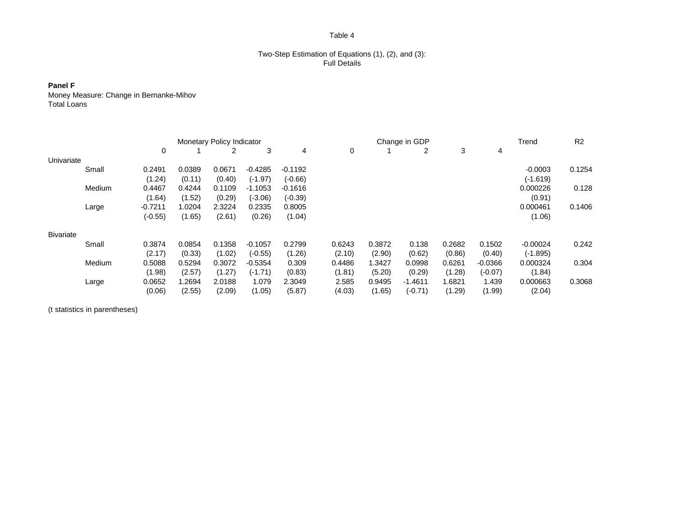#### Two-Step Estimation of Equations (1), (2), and (3): Full Details

**Panel F**

Money Measure: Change in Bernanke-Mihov Total Loans

|                  |        | <b>Monetary Policy Indicator</b> |        |        |           |           |        | Change in GDP |           |        |           | Trend      | R <sub>2</sub> |
|------------------|--------|----------------------------------|--------|--------|-----------|-----------|--------|---------------|-----------|--------|-----------|------------|----------------|
|                  |        | 0                                |        | 2      | 3         | 4         | 0      |               | 2         | 3      | 4         |            |                |
| Univariate       |        |                                  |        |        |           |           |        |               |           |        |           |            |                |
|                  | Small  | 0.2491                           | 0.0389 | 0.0671 | $-0.4285$ | $-0.1192$ |        |               |           |        |           | $-0.0003$  | 0.1254         |
|                  |        | (1.24)                           | (0.11) | (0.40) | $(-1.97)$ | $(-0.66)$ |        |               |           |        |           | $(-1.619)$ |                |
|                  | Medium | 0.4467                           | 0.4244 | 0.1109 | $-1.1053$ | $-0.1616$ |        |               |           |        |           | 0.000226   | 0.128          |
|                  |        | (1.64)                           | (1.52) | (0.29) | (-3.06)   | $(-0.39)$ |        |               |           |        |           | (0.91)     |                |
|                  | Large  | $-0.7211$                        | 1.0204 | 2.3224 | 0.2335    | 0.8005    |        |               |           |        |           | 0.000461   | 0.1406         |
|                  |        | $(-0.55)$                        | (1.65) | (2.61) | (0.26)    | (1.04)    |        |               |           |        |           | (1.06)     |                |
| <b>Bivariate</b> |        |                                  |        |        |           |           |        |               |           |        |           |            |                |
|                  | Small  | 0.3874                           | 0.0854 | 0.1358 | $-0.1057$ | 0.2799    | 0.6243 | 0.3872        | 0.138     | 0.2682 | 0.1502    | $-0.00024$ | 0.242          |
|                  |        | (2.17)                           | (0.33) | (1.02) | $(-0.55)$ | (1.26)    | (2.10) | (2.90)        | (0.62)    | (0.86) | (0.40)    | $(-1.895)$ |                |
|                  | Medium | 0.5088                           | 0.5294 | 0.3072 | $-0.5354$ | 0.309     | 0.4486 | 1.3427        | 0.0998    | 0.6261 | $-0.0366$ | 0.000324   | 0.304          |
|                  |        | (1.98)                           | (2.57) | (1.27) | $(-1.71)$ | (0.83)    | (1.81) | (5.20)        | (0.29)    | (1.28) | $(-0.07)$ | (1.84)     |                |
|                  | Large  | 0.0652                           | 1.2694 | 2.0188 | 1.079     | 2.3049    | 2.585  | 0.9495        | $-1.4611$ | 1.6821 | 1.439     | 0.000663   | 0.3068         |
|                  |        | (0.06)                           | (2.55) | (2.09) | (1.05)    | (5.87)    | (4.03) | (1.65)        | $(-0.71)$ | (1.29) | (1.99)    | (2.04)     |                |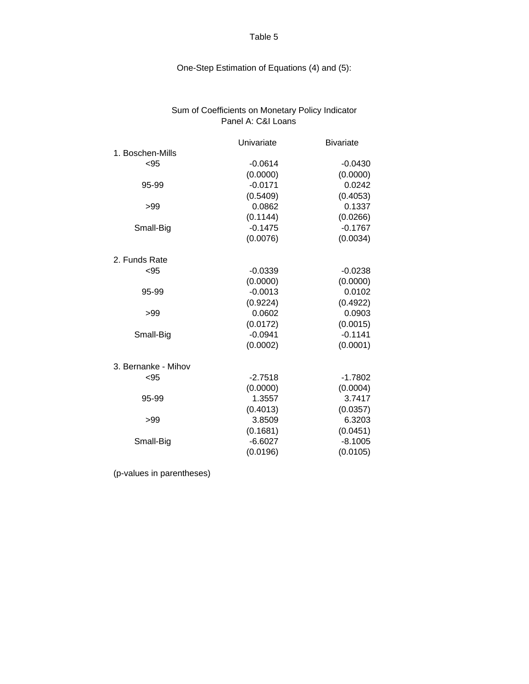# One-Step Estimation of Equations (4) and (5):

# Sum of Coefficients on Monetary Policy Indicator Panel A: C&I Loans

|                     | Univariate | <b>Bivariate</b> |
|---------------------|------------|------------------|
| 1. Boschen-Mills    |            |                  |
| $95$                | $-0.0614$  | $-0.0430$        |
|                     | (0.0000)   | (0.0000)         |
| 95-99               | $-0.0171$  | 0.0242           |
|                     | (0.5409)   | (0.4053)         |
| >99                 | 0.0862     | 0.1337           |
|                     | (0.1144)   | (0.0266)         |
| Small-Big           | $-0.1475$  | $-0.1767$        |
|                     | (0.0076)   | (0.0034)         |
| 2. Funds Rate       |            |                  |
| < 95                | $-0.0339$  | $-0.0238$        |
|                     | (0.0000)   | (0.0000)         |
| 95-99               | $-0.0013$  | 0.0102           |
|                     | (0.9224)   | (0.4922)         |
| >99                 | 0.0602     | 0.0903           |
|                     | (0.0172)   | (0.0015)         |
| Small-Big           | $-0.0941$  | $-0.1141$        |
|                     | (0.0002)   | (0.0001)         |
| 3. Bernanke - Mihov |            |                  |
| < 95                | $-2.7518$  | $-1.7802$        |
|                     | (0.0000)   | (0.0004)         |
| 95-99               | 1.3557     | 3.7417           |
|                     | (0.4013)   | (0.0357)         |
| >99                 | 3.8509     | 6.3203           |
|                     | (0.1681)   | (0.0451)         |
| Small-Big           | $-6.6027$  | $-8.1005$        |
|                     | (0.0196)   | (0.0105)         |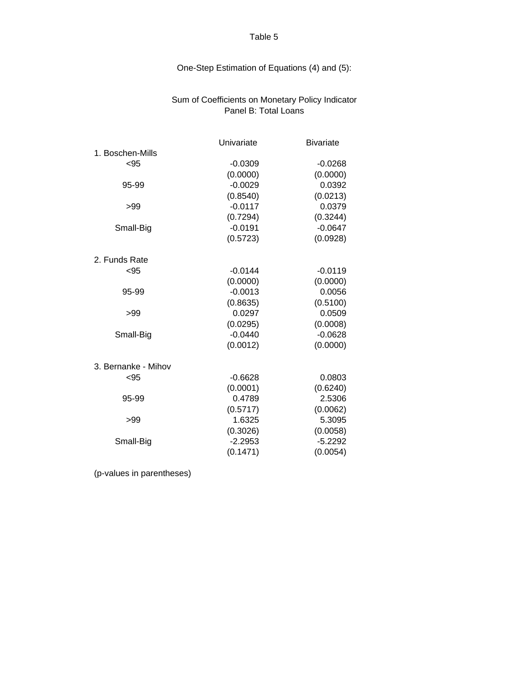# One-Step Estimation of Equations (4) and (5):

# Sum of Coefficients on Monetary Policy Indicator Panel B: Total Loans

|                     | Univariate | <b>Bivariate</b> |
|---------------------|------------|------------------|
| 1. Boschen-Mills    |            |                  |
| $95$                | $-0.0309$  | $-0.0268$        |
|                     | (0.0000)   | (0.0000)         |
| 95-99               | $-0.0029$  | 0.0392           |
|                     | (0.8540)   | (0.0213)         |
| >99                 | $-0.0117$  | 0.0379           |
|                     | (0.7294)   | (0.3244)         |
| Small-Big           | $-0.0191$  | $-0.0647$        |
|                     | (0.5723)   | (0.0928)         |
| 2. Funds Rate       |            |                  |
| $<$ 95              | $-0.0144$  | $-0.0119$        |
|                     | (0.0000)   | (0.0000)         |
| 95-99               | $-0.0013$  | 0.0056           |
|                     | (0.8635)   | (0.5100)         |
| >99                 | 0.0297     | 0.0509           |
|                     | (0.0295)   | (0.0008)         |
| Small-Big           | $-0.0440$  | $-0.0628$        |
|                     | (0.0012)   | (0.0000)         |
| 3. Bernanke - Mihov |            |                  |
| $95$                | $-0.6628$  | 0.0803           |
|                     | (0.0001)   | (0.6240)         |
| 95-99               | 0.4789     | 2.5306           |
|                     | (0.5717)   | (0.0062)         |
| >99                 | 1.6325     | 5.3095           |
|                     | (0.3026)   | (0.0058)         |
| Small-Big           | $-2.2953$  | $-5.2292$        |
|                     | (0.1471)   | (0.0054)         |
|                     |            |                  |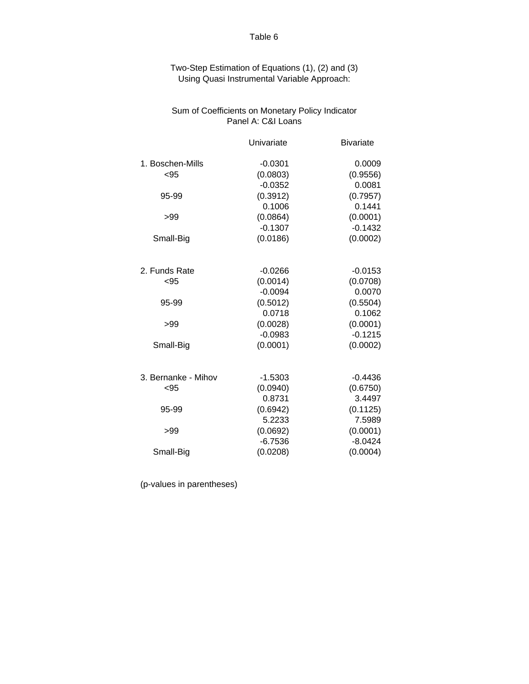Two-Step Estimation of Equations (1), (2) and (3) Using Quasi Instrumental Variable Approach:

# Sum of Coefficients on Monetary Policy Indicator Panel A: C&I Loans

|                     | Univariate | <b>Bivariate</b> |
|---------------------|------------|------------------|
| 1. Boschen-Mills    | $-0.0301$  | 0.0009           |
| < 95                | (0.0803)   | (0.9556)         |
|                     | $-0.0352$  | 0.0081           |
| 95-99               | (0.3912)   | (0.7957)         |
|                     | 0.1006     | 0.1441           |
| >99                 | (0.0864)   | (0.0001)         |
|                     | $-0.1307$  | $-0.1432$        |
| Small-Big           | (0.0186)   | (0.0002)         |
|                     |            |                  |
| 2. Funds Rate       | $-0.0266$  | $-0.0153$        |
| < 95                | (0.0014)   | (0.0708)         |
|                     | $-0.0094$  | 0.0070           |
| 95-99               | (0.5012)   | (0.5504)         |
|                     | 0.0718     | 0.1062           |
| >99                 | (0.0028)   | (0.0001)         |
|                     | $-0.0983$  | $-0.1215$        |
| Small-Big           | (0.0001)   | (0.0002)         |
|                     |            |                  |
| 3. Bernanke - Mihov | $-1.5303$  | $-0.4436$        |
| < 95                | (0.0940)   | (0.6750)         |
|                     | 0.8731     | 3.4497           |
| 95-99               | (0.6942)   | (0.1125)         |
|                     | 5.2233     | 7.5989           |
| >99                 | (0.0692)   | (0.0001)         |
|                     | $-6.7536$  | $-8.0424$        |
| Small-Big           | (0.0208)   | (0.0004)         |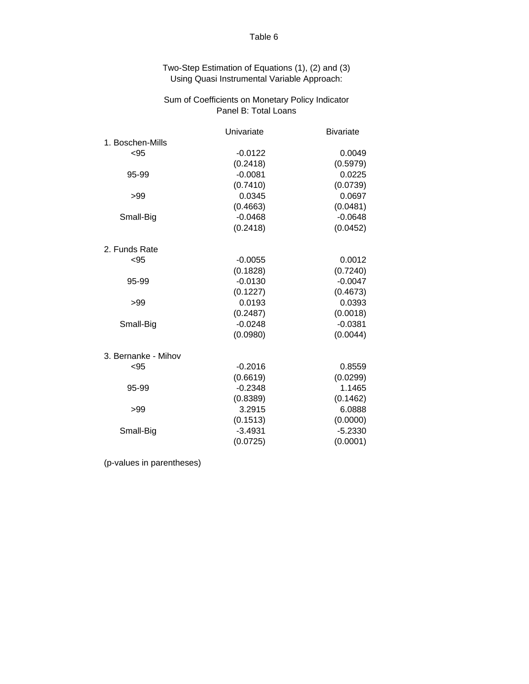| Two-Step Estimation of Equations (1), (2) and (3) |
|---------------------------------------------------|
| Using Quasi Instrumental Variable Approach:       |

# Panel B: Total Loans Sum of Coefficients on Monetary Policy Indicator

|                     | Univariate | <b>Bivariate</b> |
|---------------------|------------|------------------|
| 1. Boschen-Mills    |            |                  |
| $95$                | $-0.0122$  | 0.0049           |
|                     | (0.2418)   | (0.5979)         |
| 95-99               | $-0.0081$  | 0.0225           |
|                     | (0.7410)   | (0.0739)         |
| >99                 | 0.0345     | 0.0697           |
|                     | (0.4663)   | (0.0481)         |
| Small-Big           | $-0.0468$  | $-0.0648$        |
|                     | (0.2418)   | (0.0452)         |
| 2. Funds Rate       |            |                  |
| < 95                | $-0.0055$  | 0.0012           |
|                     | (0.1828)   | (0.7240)         |
| 95-99               | $-0.0130$  | $-0.0047$        |
|                     | (0.1227)   | (0.4673)         |
| >99                 | 0.0193     | 0.0393           |
|                     | (0.2487)   | (0.0018)         |
| Small-Big           | $-0.0248$  | $-0.0381$        |
|                     | (0.0980)   | (0.0044)         |
| 3. Bernanke - Mihov |            |                  |
| < 95                | $-0.2016$  | 0.8559           |
|                     | (0.6619)   | (0.0299)         |
| 95-99               | $-0.2348$  | 1.1465           |
|                     | (0.8389)   | (0.1462)         |
| >99                 | 3.2915     | 6.0888           |
|                     | (0.1513)   | (0.0000)         |
| Small-Big           | $-3.4931$  | $-5.2330$        |
|                     | (0.0725)   | (0.0001)         |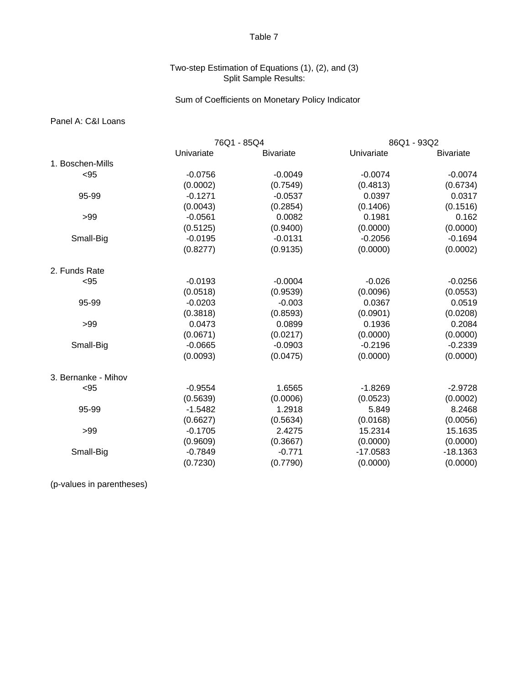# Two-step Estimation of Equations (1), (2), and (3) Split Sample Results:

# Sum of Coefficients on Monetary Policy Indicator

# Panel A: C&I Loans

|                     |            | 76Q1 - 85Q4      |            | 86Q1 - 93Q2      |
|---------------------|------------|------------------|------------|------------------|
|                     | Univariate | <b>Bivariate</b> | Univariate | <b>Bivariate</b> |
| 1. Boschen-Mills    |            |                  |            |                  |
| $95$                | $-0.0756$  | $-0.0049$        | $-0.0074$  | $-0.0074$        |
|                     | (0.0002)   | (0.7549)         | (0.4813)   | (0.6734)         |
| 95-99               | $-0.1271$  | $-0.0537$        | 0.0397     | 0.0317           |
|                     | (0.0043)   | (0.2854)         | (0.1406)   | (0.1516)         |
| >99                 | $-0.0561$  | 0.0082           | 0.1981     | 0.162            |
|                     | (0.5125)   | (0.9400)         | (0.0000)   | (0.0000)         |
| Small-Big           | $-0.0195$  | $-0.0131$        | $-0.2056$  | $-0.1694$        |
|                     | (0.8277)   | (0.9135)         | (0.0000)   | (0.0002)         |
| 2. Funds Rate       |            |                  |            |                  |
| $95$                | $-0.0193$  | $-0.0004$        | $-0.026$   | $-0.0256$        |
|                     | (0.0518)   | (0.9539)         | (0.0096)   | (0.0553)         |
| 95-99               | $-0.0203$  | $-0.003$         | 0.0367     | 0.0519           |
|                     | (0.3818)   | (0.8593)         | (0.0901)   | (0.0208)         |
| >99                 | 0.0473     | 0.0899           | 0.1936     | 0.2084           |
|                     | (0.0671)   | (0.0217)         | (0.0000)   | (0.0000)         |
| Small-Big           | $-0.0665$  | $-0.0903$        | $-0.2196$  | $-0.2339$        |
|                     | (0.0093)   | (0.0475)         | (0.0000)   | (0.0000)         |
| 3. Bernanke - Mihov |            |                  |            |                  |
| $95$                | $-0.9554$  | 1.6565           | $-1.8269$  | $-2.9728$        |
|                     | (0.5639)   | (0.0006)         | (0.0523)   | (0.0002)         |
| 95-99               | $-1.5482$  | 1.2918           | 5.849      | 8.2468           |
|                     | (0.6627)   | (0.5634)         | (0.0168)   | (0.0056)         |
| >99                 | $-0.1705$  | 2.4275           | 15.2314    | 15.1635          |
|                     | (0.9609)   | (0.3667)         | (0.0000)   | (0.0000)         |
| Small-Big           | $-0.7849$  | $-0.771$         | $-17.0583$ | $-18.1363$       |
|                     | (0.7230)   | (0.7790)         | (0.0000)   | (0.0000)         |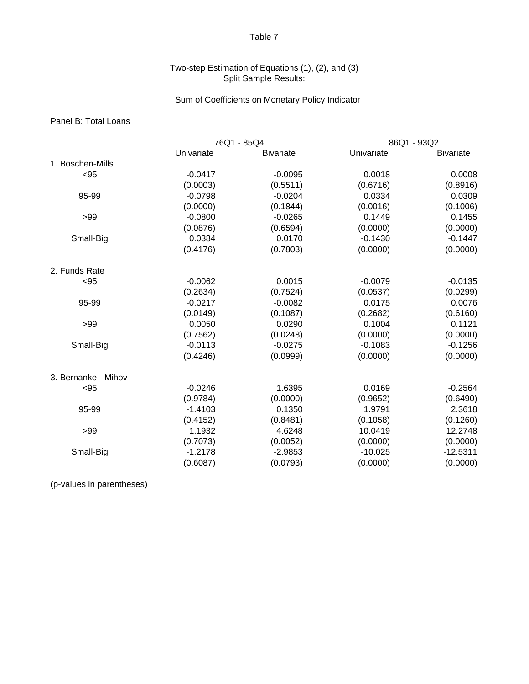# Two-step Estimation of Equations (1), (2), and (3) Split Sample Results:

# Sum of Coefficients on Monetary Policy Indicator

# Panel B: Total Loans

|                     | 76Q1 - 85Q4 |                  | 86Q1 - 93Q2 |                  |
|---------------------|-------------|------------------|-------------|------------------|
|                     | Univariate  | <b>Bivariate</b> | Univariate  | <b>Bivariate</b> |
| 1. Boschen-Mills    |             |                  |             |                  |
| $95$                | $-0.0417$   | $-0.0095$        | 0.0018      | 0.0008           |
|                     | (0.0003)    | (0.5511)         | (0.6716)    | (0.8916)         |
| 95-99               | $-0.0798$   | $-0.0204$        | 0.0334      | 0.0309           |
|                     | (0.0000)    | (0.1844)         | (0.0016)    | (0.1006)         |
| >99                 | $-0.0800$   | $-0.0265$        | 0.1449      | 0.1455           |
|                     | (0.0876)    | (0.6594)         | (0.0000)    | (0.0000)         |
| Small-Big           | 0.0384      | 0.0170           | $-0.1430$   | $-0.1447$        |
|                     | (0.4176)    | (0.7803)         | (0.0000)    | (0.0000)         |
| 2. Funds Rate       |             |                  |             |                  |
| $95$                | $-0.0062$   | 0.0015           | $-0.0079$   | $-0.0135$        |
|                     | (0.2634)    | (0.7524)         | (0.0537)    | (0.0299)         |
| 95-99               | $-0.0217$   | $-0.0082$        | 0.0175      | 0.0076           |
|                     | (0.0149)    | (0.1087)         | (0.2682)    | (0.6160)         |
| >99                 | 0.0050      | 0.0290           | 0.1004      | 0.1121           |
|                     | (0.7562)    | (0.0248)         | (0.0000)    | (0.0000)         |
| Small-Big           | $-0.0113$   | $-0.0275$        | $-0.1083$   | $-0.1256$        |
|                     | (0.4246)    | (0.0999)         | (0.0000)    | (0.0000)         |
| 3. Bernanke - Mihov |             |                  |             |                  |
| $95$                | $-0.0246$   | 1.6395           | 0.0169      | $-0.2564$        |
|                     | (0.9784)    | (0.0000)         | (0.9652)    | (0.6490)         |
| 95-99               | $-1.4103$   | 0.1350           | 1.9791      | 2.3618           |
|                     | (0.4152)    | (0.8481)         | (0.1058)    | (0.1260)         |
| >99                 | 1.1932      | 4.6248           | 10.0419     | 12.2748          |
|                     | (0.7073)    | (0.0052)         | (0.0000)    | (0.0000)         |
| Small-Big           | $-1.2178$   | $-2.9853$        | $-10.025$   | $-12.5311$       |
|                     | (0.6087)    | (0.0793)         | (0.0000)    | (0.0000)         |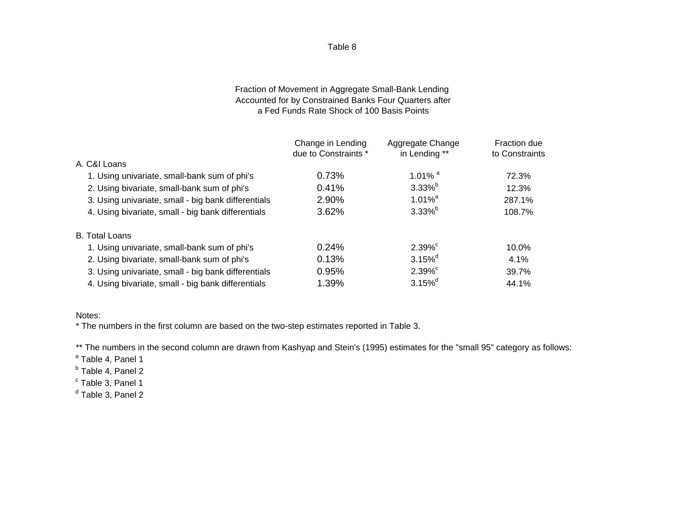# Fraction of Movement in Aggregate Small-Bank Lending Accounted for by Constrained Banks Four Quarters after a Fed Funds Rate Shock of 100 Basis Points

|                                                     | Change in Lending<br>due to Constraints * | Aggregate Change<br>in Lending ** | Fraction due<br>to Constraints |
|-----------------------------------------------------|-------------------------------------------|-----------------------------------|--------------------------------|
| A. C&I Loans                                        |                                           |                                   |                                |
| 1. Using univariate, small-bank sum of phi's        | 0.73%                                     | 1.01% $^a$                        | 72.3%                          |
| 2. Using bivariate, small-bank sum of phi's         | 0.41%                                     | $3.33\%$ <sup>b</sup>             | 12.3%                          |
| 3. Using univariate, small - big bank differentials | 2.90%                                     | $1.01\%$ <sup>a</sup>             | 287.1%                         |
| 4. Using bivariate, small - big bank differentials  | 3.62%                                     | $3.33\%$ <sup>b</sup>             | 108.7%                         |
| <b>B.</b> Total Loans                               |                                           |                                   |                                |
| 1. Using univariate, small-bank sum of phi's        | 0.24%                                     | $2.39\%$ <sup>c</sup>             | 10.0%                          |
| 2. Using bivariate, small-bank sum of phi's         | 0.13%                                     | $3.15\%$ <sup>d</sup>             | 4.1%                           |
| 3. Using univariate, small - big bank differentials | 0.95%                                     | $2.39%^c$                         | 39.7%                          |
| 4. Using bivariate, small - big bank differentials  | 1.39%                                     | $3.15\%$ <sup>d</sup>             | 44.1%                          |

## Notes:

\* The numbers in the first column are based on the two-step estimates reported in Table 3.

\*\* The numbers in the second column are drawn from Kashyap and Stein's (1995) estimates for the "small 95" category as follows:

<sup>a</sup> Table 4, Panel 1

<sup>b</sup> Table 4, Panel 2

- <sup>c</sup> Table 3, Panel 1
- <sup>d</sup> Table 3, Panel 2

Table 8